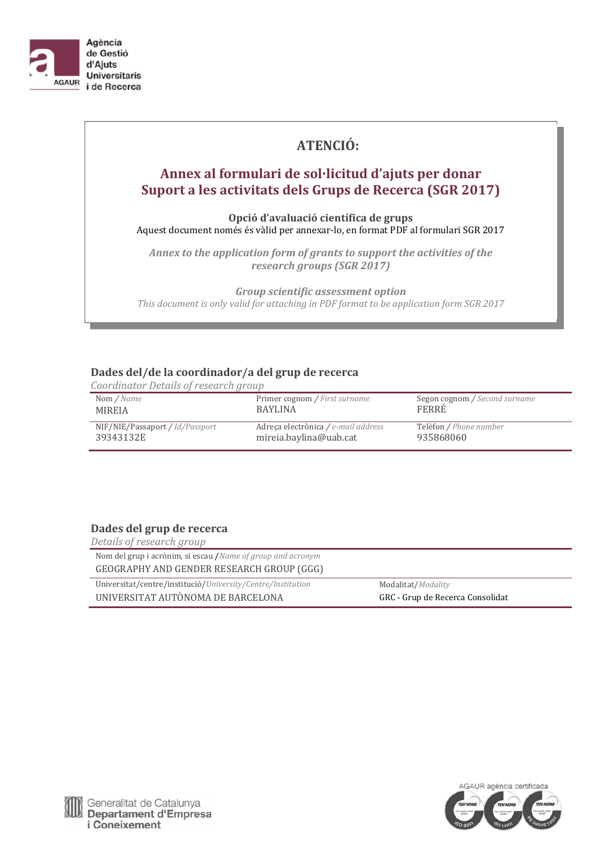

# **ATENCIÓ:**

# **Annex al formulari de sol·licitud d'ajuts per donar Suport a les activitats dels Grups de Recerca (SGR 2017)**

**Opció d'avaluació científica de grups** Aquest document només és vàlid per annexar-lo, en format PDF al formulari SGR 2017

*Annex to the application form of grants to support the activities of the research groups (SGR 2017)*

*Group scientific assessment option This document is only valid for attaching in PDF format to be application form SGR 2017*

# **Dades del/de la coordinador/a del grup de recerca**

*Coordinator Details of research group* 

| Nom / Name                      | Primer cognom / First surname       | Segon cognom / Second surname |
|---------------------------------|-------------------------------------|-------------------------------|
| MIREIA                          | <b>BAYLINA</b>                      | FERRÉ                         |
| NIF/NIE/Passaport / Id/Passport | Adreca electrònica / e-mail address | Telèfon / Phone number        |
| 39343132E                       | mireia.baylina@uab.cat              | 935868060                     |

# **Dades del grup de recerca**

| Details of research group                                    |                                  |
|--------------------------------------------------------------|----------------------------------|
| Nom del grup i acrònim, si escau / Name of group and acronym |                                  |
| GEOGRAPHY AND GENDER RESEARCH GROUP (GGG)                    |                                  |
| Universitat/centre/institució/University/Centre/Institution  | Modalitat/Modality               |
| UNIVERSITAT AUTÒNOMA DE BARCELONA                            | GRC - Grup de Recerca Consolidat |

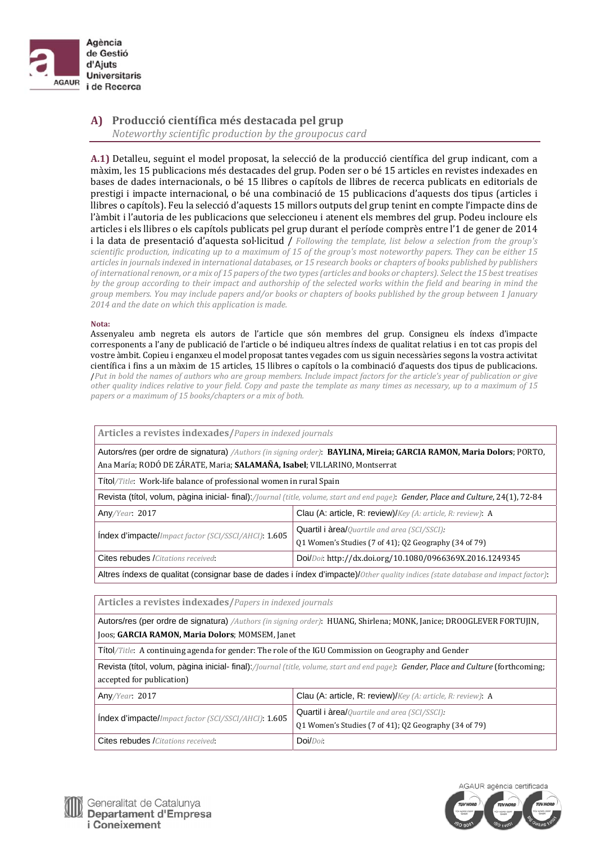

**A) Producció científica més destacada pel grup** *Noteworthy scientific production by the groupocus card*

A.1) Detalleu, seguint el model proposat, la selecció de la producció científica del grup indicant, com a màxim, les 15 publicacions més destacades del grup. Poden ser o bé 15 articles en revistes indexades en bases de dades internacionals, o bé 15 llibres o capítols de llibres de recerca publicats en editorials de prestigi i impacte internacional, o bé una combinació de 15 publicacions d'aquests dos tipus (articles i llibres o capítols). Feu la selecció d'aquests 15 millors outputs del grup tenint en compte l'impacte dins de l'àmbit i l'autoria de les publicacions que seleccioneu i atenent els membres del grup. Podeu incloure els articles i els llibres o els capítols publicats pel grup durant el període comprès entre l'1 de gener de 2014 i la data de presentació d'aquesta sol·licitud / *Following the template, list below a selection from the group's* scientific production, indicating up to a maximum of 15 of the group's most noteworthy papers. They can be either 15 articles in journals indexed in international databases, or 15 research books or chapters of books published by publishers of international renown, or a mix of 15 papers of the two types (articles and books or chapters). Select the 15 best treatises by the group according to their impact and authorship of the selected works within the field and bearing in mind the group members. You may include papers and/or books or chapters of books published by the group between 1 January *2014 and the date on which this application is made.*

#### **Nota:**

Assenyaleu amb negreta els autors de l'article que són membres del grup. Consigneu els índexs d'impacte corresponents a l'any de publicació de l'article o bé indiqueu altres índexs de qualitat relatius i en tot cas propis del vostre àmbit. Copieu i enganxeu el model proposat tantes vegades com us siguin necessàries segons la vostra activitat científica i fins a un màxim de 15 articles, 15 llibres o capítols o la combinació d'aquests dos tipus de publicacions. Put in bold the names of authors who are group members. Include impact factors for the article's year of publication or give other quality indices relative to your field. Copy and paste the template as many times as necessary, up to a maximum of 15 *papers or a maximum of 15 books/chapters or a mix of both.*

| Articles a revistes indexades/Papers in indexed journals                                                                                                                                           |                                                                                                               |  |
|----------------------------------------------------------------------------------------------------------------------------------------------------------------------------------------------------|---------------------------------------------------------------------------------------------------------------|--|
| Autors/res (per ordre de signatura) / Authors (in signing order): BAYLINA, Mireia; GARCIA RAMON, Maria Dolors; PORTO,<br>Ana María; RODÓ DE ZÁRATE, Maria; SALAMAÑA, Isabel; VILLARINO, Montserrat |                                                                                                               |  |
| Títol/Title: Work-life balance of professional women in rural Spain                                                                                                                                |                                                                                                               |  |
| Revista (títol, volum, pàgina inicial- final):// <i>ournal (title, volume, start and end page)</i> : Gender, Place and Culture, 24(1), 72-84                                                       |                                                                                                               |  |
| Any/Year: 2017                                                                                                                                                                                     | Clau (A: article, R: review)/Key (A: article, R: review): A                                                   |  |
| Index d'impacte/Impact factor (SCI/SSCI/AHCI): 1.605                                                                                                                                               | <b>Quartil i àrea/</b> Quartile and area (SCI/SSCI):<br>Q1 Women's Studies (7 of 41); Q2 Geography (34 of 79) |  |
| Cites rebudes /Citations received:                                                                                                                                                                 | Doi/Doi: http://dx.doi.org/10.1080/0966369X.2016.1249345                                                      |  |
| Altres índexs de qualitat (consignar base de dades i índex d'impacte)/Other quality indices (state database and impact factor):                                                                    |                                                                                                               |  |

**Articles a revistes indexades/***Papers in indexed journals*

Autors/res (per ordre de signatura) */Authors (in signing order)*: HUANG, Shirlena; MONK, Janice; DROOGLEVER FORTUJIN, Joos; **GARCIA RAMON, Maria Dolors**; MOMSEM, Janet

Títol/Title: A continuing agenda for gender: The role of the IGU Commission on Geography and Gender

Revista (títol, volum, pàgina inicial- final):*/Journal (title, volume, start and end page)*: *Gender, Place and Culture* (forthcoming; accepted for publication)

| Any/Year: 2017                                       | Clau (A: article, R: review)/Key (A: article, R: review): A                                                     |
|------------------------------------------------------|-----------------------------------------------------------------------------------------------------------------|
| Index d'impacte/Impact factor (SCI/SSCI/AHCI): 1.605 | Quartil i àrea/Quartile and area (SCI/SSCI):<br>$\sqrt{Q}$ 1 Women's Studies (7 of 41); Q2 Geography (34 of 79) |
| <b>Cites rebudes /</b> Citations received:           | $Doi/Doi$ :                                                                                                     |



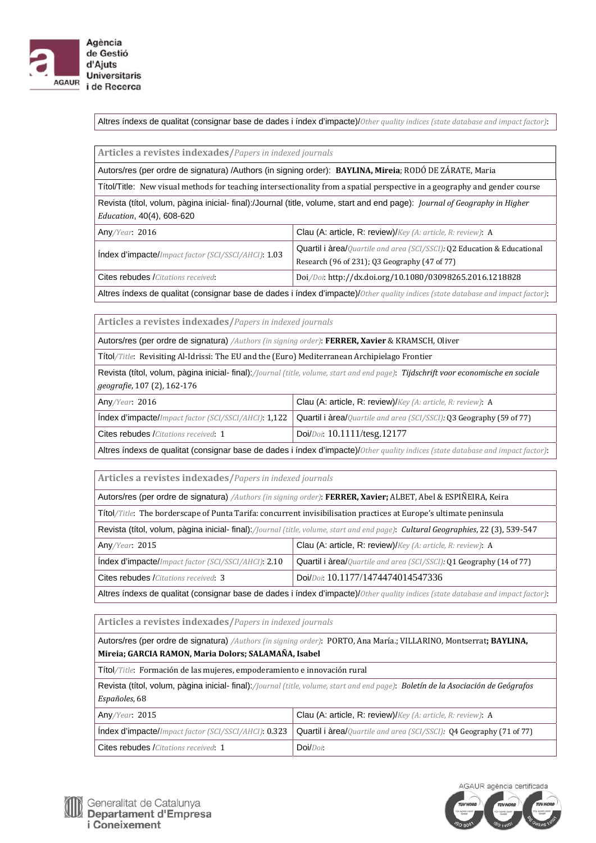

Altres índexs de qualitat (consignar base de dades i índex d'impacte)/*Other quality indices (state database and impact factor)*: 

| Articles a revistes indexades/Papers in indexed journals                                                                                                |                                                                                                                          |
|---------------------------------------------------------------------------------------------------------------------------------------------------------|--------------------------------------------------------------------------------------------------------------------------|
| Autors/res (per ordre de signatura) /Authors (in signing order): BAYLINA, Mireia; RODÓ DE ZÁRATE, Maria                                                 |                                                                                                                          |
| Títol/Title: New visual methods for teaching intersectionality from a spatial perspective in a geography and gender course                              |                                                                                                                          |
| Revista (títol, volum, pàgina inicial- final):/Journal (title, volume, start and end page): Journal of Geography in Higher<br>Education, 40(4), 608-620 |                                                                                                                          |
| Any/Year: 2016                                                                                                                                          | Clau (A: article, R: review)/Key (A: article, R: review): A                                                              |
| Index d'impacte/Impact factor (SCI/SSCI/AHCI): 1.03                                                                                                     | Quartil i àrea/Quartile and area (SCI/SSCI): Q2 Education & Educational<br>Research (96 of 231); Q3 Geography (47 of 77) |
| <b>Cites rebudes /</b> Citations received:                                                                                                              | Doi/Doi: http://dx.doi.org/10.1080/03098265.2016.1218828                                                                 |

Altres índexs de qualitat (consignar base de dades i índex d'impacte)/*Other quality indices (state database and impact factor)*: 

**Articles a revistes indexades/***Papers in indexed journals*

Autors/res (per ordre de signatura) */Authors (in signing order)*: **FERRER, Xavier** & KRAMSCH, Oliver

Títol/Title: Revisiting Al-Idrissi: The EU and the (Euro) Mediterranean Archipielago Frontier

Revista (títol, volum, pàgina inicial- final):*/Journal (title, volume, start and end page)*: *Tijdschrift voor economische en sociale geografie*, 107 (2), 162‐176

| Any/Year: 2016                               | <b>Clau (A: article, R: review)/</b> $Key (A: article, R: review): A$                                                     |
|----------------------------------------------|---------------------------------------------------------------------------------------------------------------------------|
|                                              | Index d'impacte/Impact factor (SCI/SSCI/AHCI): 1,122 Quartil i àrea/Quartile and area (SCI/SSCI): Q3 Geography (59 of 77) |
| <b>Cites rebudes</b> / Citations received: 1 | Doi/Doi: $10.1111$ /tesg.12177                                                                                            |
| .                                            |                                                                                                                           |

Altres índexs de qualitat (consignar base de dades i índex d'impacte)/*Other quality indices (state database and impact factor)*: 

**Articles a revistes indexades/***Papers in indexed journals*

| Autors/res (per ordre de signatura) /Authors (in signing order): FERRER, Xavier; ALBET, Abel & ESPIÑEIRA, Keira                   |                                                                              |
|-----------------------------------------------------------------------------------------------------------------------------------|------------------------------------------------------------------------------|
| Títol/Title: The borderscape of Punta Tarifa: concurrent invisibilisation practices at Europe's ultimate peninsula                |                                                                              |
| Revista (títol, volum, pàgina inicial- final)://ournal (title, volume, start and end page): Cultural Geographies, 22 (3), 539-547 |                                                                              |
| Any/Year: 2015                                                                                                                    | Clau (A: article, R: review)/Key (A: article, R: review): A                  |
| Index d'impacte/Impact factor (SCI/SSCI/AHCI): 2.10                                                                               | <b>Quartil i àrea/</b> Quartile and area (SCI/SSCI): 01 Geography (14 of 77) |
| <b>Cites rebudes</b> / <i>Citations received</i> : 3                                                                              | Doi/Doi: 10.1177/1474474014547336                                            |
| Altres índexs de qualitat (consignar base de dades i índex d'impacte)/Other quality indices (state database and impact factor):   |                                                                              |

**Articles a revistes indexades/***Papers in indexed journals*

Autors/res (per ordre de signatura) */Authors (in signing order)*: PORTO, Ana María.; VILLARINO, Montserrat**; BAYLINA, Mireia; GARCIA RAMON, Maria Dolors; SALAMAÑA, Isabel**

Títol/Title: Formación de las mujeres, empoderamiento e innovación rural

Revista (títol, volum, pàgina inicial- final):*/Journal (title, volume, start and end page)*: *Boletín de la Asociación de Geógrafos* Españoles, 68

| Any/Year: 2015                                     | Clau (A: article, R: review)/ $Key (A: article, R: review): A$                                                              |
|----------------------------------------------------|-----------------------------------------------------------------------------------------------------------------------------|
|                                                    | Index d'impacte/Impact factor (SCI/SSCI/AHCI): 0.323   Quartil i àrea/Quartile and area (SCI/SSCI): Q4 Geography (71 of 77) |
| <b>Cites rebudes</b> <i>Citations received</i> : 1 | $Doi/Doi$ :                                                                                                                 |



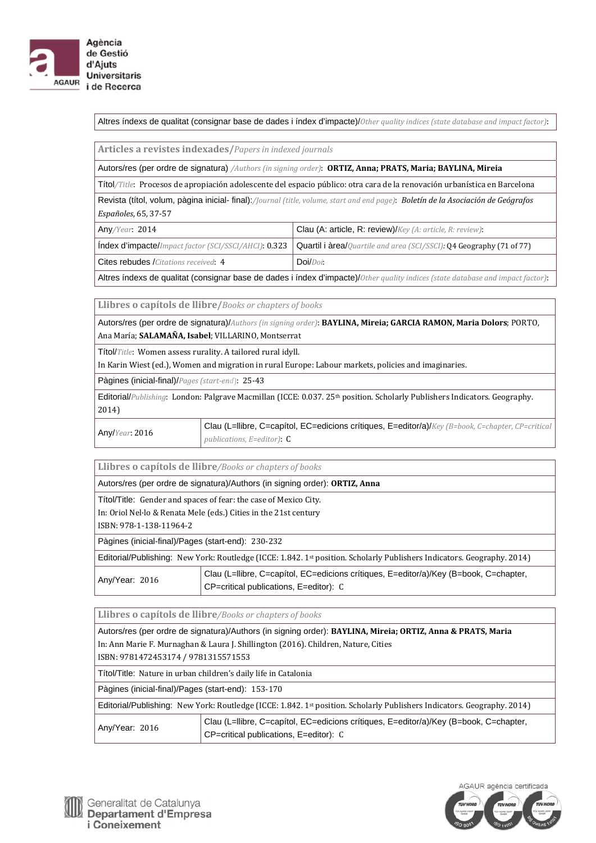

Altres índexs de qualitat (consignar base de dades i índex d'impacte)/*Other quality indices (state database and impact factor)*: 

**Articles a revistes indexades/***Papers in indexed journals*

Autors/res (per ordre de signatura) */Authors (in signing order)*: **ORTIZ, Anna; PRATS, Maria; BAYLINA, Mireia**

Títol/Title: Procesos de apropiación adolescente del espacio público: otra cara de la renovación urbanística en Barcelona

Revista (títol, volum, pàgina inicial- final):*/Journal (title, volume, start and end page)*: *Boletín de la Asociación de Geógrafos Españoles*, 65, 37‐57

| Any/Year: 2014                       | Clau (A: article, R: review)/Key (A: article, R: review):                                                                   |
|--------------------------------------|-----------------------------------------------------------------------------------------------------------------------------|
|                                      | Index d'impacte/Impact factor (SCI/SSCI/AHCI): 0.323   Quartil i àrea/Quartile and area (SCI/SSCI): Q4 Geography (71 of 77) |
| Cites rebudes /Citations received: 4 | $Doi/Doi$ :                                                                                                                 |

Altres índexs de qualitat (consignar base de dades i índex d'impacte)/*Other quality indices (state database and impact factor)*: 

**Llibres o capítols de llibre/***Books or chapters of books* 

Autors/res (per ordre de signatura)/*Authors (in signing order)*: **BAYLINA, Mireia; GARCIA RAMON, Maria Dolors**; PORTO, Ana María; **SALAMAÑA, Isabel**; VILLARINO, Montserrat

Títol/*Title*: Women assess rurality. A tailored rural idyll.

In Karin Wiest (ed.), Women and migration in rural Europe: Labour markets, policies and imaginaries.

Pàgines (inicial-final)/*Pages (start‐end*): 25‐43

Editorial/*Publishing*: London: Palgrave Macmillan (ICCE: 0.037. 25<sup>th</sup> position. Scholarly Publishers Indicators. Geography. 2014)

Any/*Year*: 2016 Clau (L=llibre, C=capítol, EC=edicions crítiques, E=editor/a)/*Key (B=book, C=chapter, CP=critical publications, E=editor)*: C

**Llibres o capítols de llibre***/Books or chapters of books* 

Autors/res (per ordre de signatura)/Authors (in signing order): **ORTIZ, Anna**

Títol/Title: Gender and spaces of fear: the case of Mexico City.

In: Oriol Nel·lo & Renata Mele (eds.) Cities in the 21st century

ISBN: 978‐1‐138‐11964‐2

Pàgines (inicial-final)/Pages (start-end): 230‐232

Editorial/Publishing: New York: Routledge (ICCE: 1.842. 1st position. Scholarly Publishers Indicators. Geography. 2014)

| Any/Year: 2016 | Clau (L=Ilibre, C=capítol, EC=edicions crítiques, E=editor/a)/Key (B=book, C=chapter, |
|----------------|---------------------------------------------------------------------------------------|
|                | CP=critical publications, E=editor): C                                                |

**Llibres o capítols de llibre***/Books or chapters of books*

Autors/res (per ordre de signatura)/Authors (in signing order): **BAYLINA, Mireia; ORTIZ, Anna & PRATS, Maria** In: Ann Marie F. Murnaghan & Laura J. Shillington (2016). Children, Nature, Cities ISBN: 9781472453174 / 9781315571553 Títol/Title: Nature in urban children's daily life in Catalonia Pàgines (inicial-final)/Pages (start-end): 153‐170 Editorial/Publishing: New York: Routledge (ICCE: 1.842. 1st position. Scholarly Publishers Indicators. Geography. 2014) Any/Year: 2016 Clau (L=llibre, C=capítol, EC=edicions crítiques, E=editor/a)/Key (B=book, C=chapter, CP=critical publications, E=editor): C

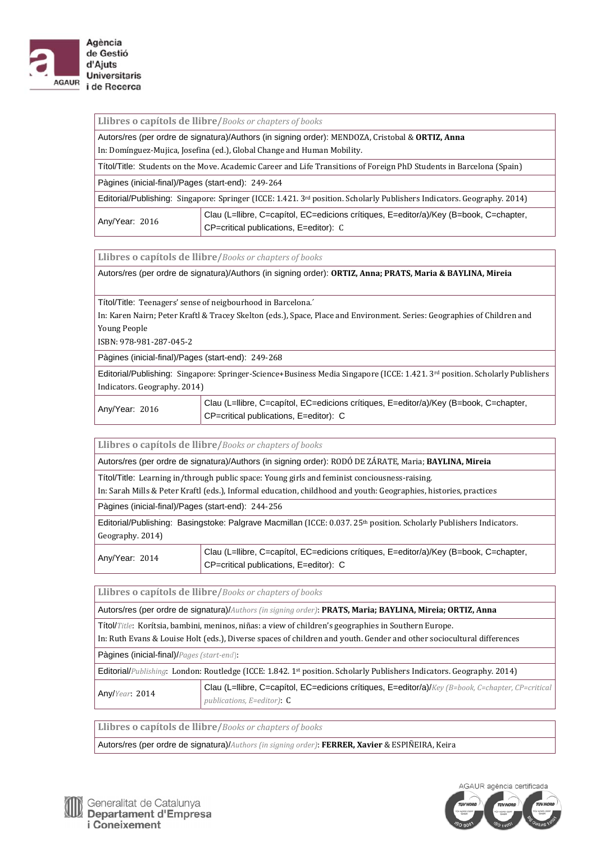

| Llibres o capítols de llibre/Books or chapters of books |  |
|---------------------------------------------------------|--|
|---------------------------------------------------------|--|

Autors/res (per ordre de signatura)/Authors (in signing order): MENDOZA, Cristobal & **ORTIZ, Anna** In: Domínguez-Mujica, Josefina (ed.), Global Change and Human Mobility.

Títol/Title: Students on the Move. Academic Career and Life Transitions of Foreign PhD Students in Barcelona (Spain)

Pàgines (inicial-final)/Pages (start-end): 249‐264

Editorial/Publishing: Singapore: Springer (ICCE: 1.421. 3<sup>rd</sup> position. Scholarly Publishers Indicators. Geography. 2014)

|                | Clau (L=llibre, C=capítol, EC=edicions crítiques, E=editor/a)/Key (B=book, C=chapter, |
|----------------|---------------------------------------------------------------------------------------|
| Any/Year: 2016 | CP=critical publications, E=editor): C                                                |

**Llibres o capítols de llibre/***Books or chapters of books*

Autors/res (per ordre de signatura)/Authors (in signing order): **ORTIZ, Anna; PRATS, Maria & BAYLINA, Mireia**

Títol/Title: Teenagers' sense of neigbourhood in Barcelona.<sup>'</sup>

In: Karen Nairn; Peter Kraftl & Tracey Skelton (eds.), Space, Place and Environment. Series: Geographies of Children and Young People

ISBN: 978‐981‐287‐045‐2 

Pàgines (inicial-final)/Pages (start-end): 249‐268

Editorial/Publishing: Singapore: Springer-Science+Business Media Singapore (ICCE: 1.421. 3rd position. Scholarly Publishers Indicators. Geography. 2014) 

Any/Year: 2016 Clau (L=llibre, C=capítol, EC=edicions crítiques, E=editor/a)/Key (B=book, C=chapter, CP=critical publications, E=editor): C

**Llibres o capítols de llibre/***Books or chapters of books*

Autors/res (per ordre de signatura)/Authors (in signing order): RODÓ DE ZÁRATE, Maria; **BAYLINA, Mireia**

Títol/Title: Learning in/through public space: Young girls and feminist conciousness-raising.

In: Sarah Mills & Peter Kraftl (eds.), Informal education, childhood and youth: Geographies, histories, practices

Pàgines (inicial-final)/Pages (start-end): 244‐256

Editorial/Publishing: Basingstoke: Palgrave Macmillan (ICCE: 0.037. 25<sup>th</sup> position. Scholarly Publishers Indicators. Geography. 2014)

Any/Year: 2014 Clau (L=llibre, C=capítol, EC=edicions crítiques, E=editor/a)/Key (B=book, C=chapter, CP=critical publications, E=editor): C

**Llibres o capítols de llibre/***Books or chapters of books* 

Autors/res (per ordre de signatura)/*Authors (in signing order)*: **PRATS, Maria; BAYLINA, Mireia; ORTIZ, Anna**

Títol/*Title*: Korítsia, bambini, meninos, niñas: a view of children's geographies in Southern Europe.

In: Ruth Evans & Louise Holt (eds.), Diverse spaces of children and youth. Gender and other sociocultural differences

Pàgines (inicial-final)/*Pages (start‐end*): 

Editorial/*Publishing*: London: Routledge (ICCE: 1.842. 1<sup>st</sup> position. Scholarly Publishers Indicators. Geography. 2014)

Any/*Year*: 2014 Clau (L=llibre, C=capítol, EC=edicions crítiques, E=editor/a)/*Key (B=book, C=chapter, CP=critical publications, E=editor)*: C

**Llibres o capítols de llibre/***Books or chapters of books* 

Autors/res (per ordre de signatura)/*Authors (in signing order)*: **FERRER, Xavier** & ESPIÑEIRA, Keira 

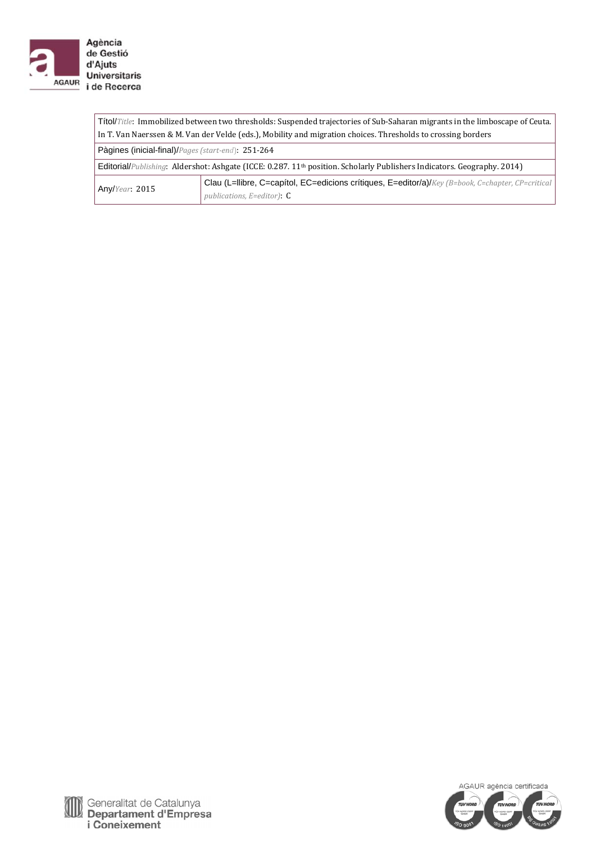

| Titol/Title: Immobilized between two thresholds: Suspended trajectories of Sub-Saharan migrants in the limboscape of Ceuta. |                                                                                                                                       |  |  |  |  |  |  |
|-----------------------------------------------------------------------------------------------------------------------------|---------------------------------------------------------------------------------------------------------------------------------------|--|--|--|--|--|--|
| In T. Van Naerssen & M. Van der Velde (eds.), Mobility and migration choices. Thresholds to crossing borders                |                                                                                                                                       |  |  |  |  |  |  |
| Pàgines (inicial-final)/Pages (start-end): 251-264                                                                          |                                                                                                                                       |  |  |  |  |  |  |
|                                                                                                                             | Editorial/Publishing: Aldershot: Ashgate (ICCE: 0.287. 11 <sup>th</sup> position. Scholarly Publishers Indicators. Geography. 2014)   |  |  |  |  |  |  |
| Any/Year: 2015                                                                                                              | Clau (L=Ilibre, C=capítol, EC=edicions crítiques, E=editor/a)/Key (B=book, C=chapter, CP=critical<br>publications, $E =$ editor): $C$ |  |  |  |  |  |  |

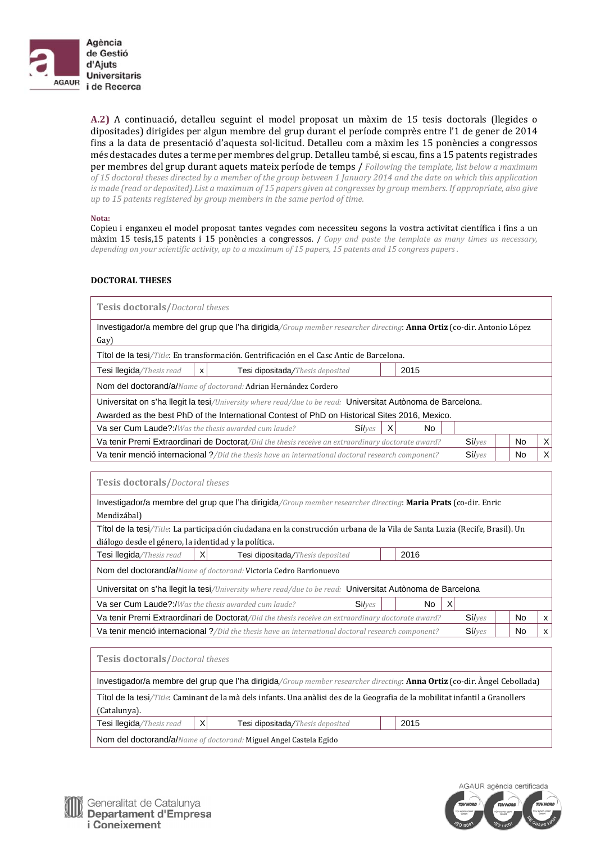

**A.2)** A continuació, detalleu seguint el model proposat un màxim de 15 tesis doctorals (llegides o dipositades) dirigides per algun membre del grup durant el període comprès entre l'1 de gener de 2014 fins a la data de presentació d'aquesta sol·licitud. Detalleu com a màxim les 15 ponències a congressos més destacades dutes a terme per membres del grup. Detalleu també, si escau, fins a 15 patents registrades per membres del grup durant aquets mateix període de temps / Following the template, list below a maximum of 15 doctoral theses directed by a member of the group between 1 January 2014 and the date on which this application is made (read or deposited). List a maximum of 15 papers given at congresses by group members. If appropriate, also give *up to 15 patents registered by group members in the same period of time.*

#### **Nota:**

Copieu i enganxeu el model proposat tantes vegades com necessiteu segons la vostra activitat científica i fins a un màxim 15 tesis,15 patents i 15 ponències a congressos. / *Copy and paste the template as many times as necessary,* depending on your scientific activity, up to a maximum of 15 papers, 15 patents and 15 congress papers.

#### **DOCTORAL THESES**

| <b>Tesis doctorals/Doctoral theses</b>                                                                                                 |   |                                                                                                                       |        |   |      |  |    |   |  |  |
|----------------------------------------------------------------------------------------------------------------------------------------|---|-----------------------------------------------------------------------------------------------------------------------|--------|---|------|--|----|---|--|--|
|                                                                                                                                        |   | Investigador/a membre del grup que l'ha dirigida/Group member researcher directing: Anna Ortiz (co-dir. Antonio López |        |   |      |  |    |   |  |  |
| Gay)                                                                                                                                   |   |                                                                                                                       |        |   |      |  |    |   |  |  |
|                                                                                                                                        |   | Títol de la tesi/Title: En transformación. Gentrificación en el Casc Antic de Barcelona.                              |        |   |      |  |    |   |  |  |
| Tesi llegida/Thesis read                                                                                                               | X | Tesi dipositada/Thesis deposited                                                                                      |        |   | 2015 |  |    |   |  |  |
|                                                                                                                                        |   | Nom del doctorand/a/Name of doctorand: Adrian Hernández Cordero                                                       |        |   |      |  |    |   |  |  |
|                                                                                                                                        |   | Universitat on s'ha llegit la tesi/University where read/due to be read: Universitat Autònoma de Barcelona.           |        |   |      |  |    |   |  |  |
|                                                                                                                                        |   | Awarded as the best PhD of the International Contest of PhD on Historical Sites 2016, Mexico.                         |        |   |      |  |    |   |  |  |
| Va ser Cum Laude?:/Was the thesis awarded cum laude?                                                                                   |   |                                                                                                                       | Siives | X | No   |  |    |   |  |  |
| $Si/$ <sub><math>Ves</math></sub><br>Va tenir Premi Extraordinari de Doctorat/Did the thesis receive an extraordinary doctorate award? |   |                                                                                                                       |        |   |      |  |    | X |  |  |
| Va tenir menció internacional ?/Did the thesis have an international doctoral research component?                                      |   |                                                                                                                       |        |   |      |  | No | X |  |  |

| <b>Tesis doctorals/Doctoral theses</b>                                                                                        |   |                                                                                                                |  |                      |    |              |  |  |  |
|-------------------------------------------------------------------------------------------------------------------------------|---|----------------------------------------------------------------------------------------------------------------|--|----------------------|----|--------------|--|--|--|
|                                                                                                                               |   | Investigador/a membre del grup que l'ha dirigida/Group member researcher directing: Maria Prats (co-dir. Enric |  |                      |    |              |  |  |  |
| Mendizábal)                                                                                                                   |   |                                                                                                                |  |                      |    |              |  |  |  |
| Títol de la tesi/Title: La participación ciudadana en la construcción urbana de la Vila de Santa Luzia (Recife, Brasil). Un   |   |                                                                                                                |  |                      |    |              |  |  |  |
| diálogo desde el género, la identidad y la política.                                                                          |   |                                                                                                                |  |                      |    |              |  |  |  |
| $\times$<br>2016<br>Tesi llegida/Thesis read<br><b>Tesi dipositada/Thesis deposited</b>                                       |   |                                                                                                                |  |                      |    |              |  |  |  |
| Nom del doctorand/a/Name of doctorand: Victoria Cedro Barrionuevo                                                             |   |                                                                                                                |  |                      |    |              |  |  |  |
| Universitat on s'ha llegit la tesi/University where read/due to be read: Universitat Autònoma de Barcelona                    |   |                                                                                                                |  |                      |    |              |  |  |  |
| <b>Va ser Cum Laude?:/</b> Was the thesis awarded cum laude?                                                                  |   | Siives                                                                                                         |  | $\mathsf{X}$<br>No   |    |              |  |  |  |
|                                                                                                                               |   | Va tenir Premi Extraordinari de Doctorat/Did the thesis receive an extraordinary doctorate award?              |  | $Si/$ <sub>Ves</sub> | No | $\mathsf{x}$ |  |  |  |
|                                                                                                                               |   | Va tenir menció internacional ?/Did the thesis have an international doctoral research component?              |  | $Si/$ <sub>Ves</sub> | No | <b>X</b>     |  |  |  |
|                                                                                                                               |   |                                                                                                                |  |                      |    |              |  |  |  |
| <b>Tesis doctorals/Doctoral theses</b>                                                                                        |   |                                                                                                                |  |                      |    |              |  |  |  |
| Investigador/a membre del grup que l'ha dirigida/Group member researcher directing: Anna Ortiz (co-dir. Àngel Cebollada)      |   |                                                                                                                |  |                      |    |              |  |  |  |
| Títol de la tesi/Title: Caminant de la mà dels infants. Una anàlisi des de la Geografia de la mobilitat infantil a Granollers |   |                                                                                                                |  |                      |    |              |  |  |  |
| (Catalunya).                                                                                                                  |   |                                                                                                                |  |                      |    |              |  |  |  |
| Tesi llegida/Thesis read                                                                                                      | X | Tesi dipositada/Thesis deposited                                                                               |  | 2015                 |    |              |  |  |  |

Nom del doctorand/a/*Name of doctorand:* Miguel Angel Castela Egido



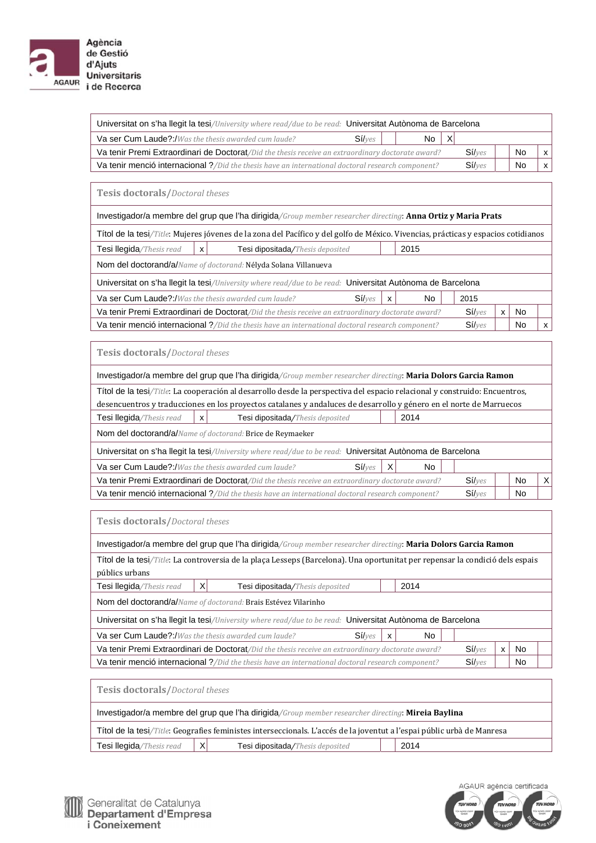

**Universitaris** i de Recerca

| Universitat on s'ha llegit la tesi/University where read/due to be read: Universitat Autònoma de Barcelona |                 |           |              |  |  |  |  |  |  |  |
|------------------------------------------------------------------------------------------------------------|-----------------|-----------|--------------|--|--|--|--|--|--|--|
| Va ser Cum Laude?:/Was the thesis awarded cum laude?                                                       | $\vert$ X<br>No |           |              |  |  |  |  |  |  |  |
| Va tenir Premi Extraordinari de Doctorat/Did the thesis receive an extraordinary doctorate award?          | Siives          | <b>No</b> | $\mathbf{x}$ |  |  |  |  |  |  |  |
| Va tenir menció internacional ?/Did the thesis have an international doctoral research component?          | Siives          | No        | $\mathsf{x}$ |  |  |  |  |  |  |  |

**Tesis doctorals/***Doctoral theses* 

Investigador/a membre del grup que l'ha dirigida*/Group member researcher directing*: **Anna Ortiz y Maria Prats**

|                                                                                                   |                                                                                                            | Títol de la tesi/Title: Mujeres jóvenes de la zona del Pacífico y del golfo de México. Vivencias, prácticas y espacios cotidianos |        |                           |      |      |  |           |   |  |
|---------------------------------------------------------------------------------------------------|------------------------------------------------------------------------------------------------------------|-----------------------------------------------------------------------------------------------------------------------------------|--------|---------------------------|------|------|--|-----------|---|--|
| Tesi llegida/Thesis read                                                                          | х                                                                                                          | Tesi dipositada/Thesis deposited                                                                                                  |        |                           | 2015 |      |  |           |   |  |
| Nom del doctorand/a/Name of doctorand: Nélyda Solana Villanueva                                   |                                                                                                            |                                                                                                                                   |        |                           |      |      |  |           |   |  |
|                                                                                                   | Universitat on s'ha llegit la tesi/University where read/due to be read: Universitat Autònoma de Barcelona |                                                                                                                                   |        |                           |      |      |  |           |   |  |
| <b>Va ser Cum Laude?:/</b> Was the thesis awarded cum laude?                                      |                                                                                                            |                                                                                                                                   | Siives | $\boldsymbol{\mathsf{x}}$ | No.  | 2015 |  |           |   |  |
| Va tenir Premi Extraordinari de Doctorat/Did the thesis receive an extraordinary doctorate award? |                                                                                                            |                                                                                                                                   |        |                           |      |      |  | <b>No</b> |   |  |
| Va tenir menció internacional ?/Did the thesis have an international doctoral research component? |                                                                                                            |                                                                                                                                   |        |                           |      |      |  | No        | X |  |

**Tesis doctorals/***Doctoral theses* 

| Investigador/a membre del grup que l'ha dirigida/Group member researcher directing: Maria Dolors Garcia Ramon              |                                  |     |      |                      |           |          |  |  |
|----------------------------------------------------------------------------------------------------------------------------|----------------------------------|-----|------|----------------------|-----------|----------|--|--|
| Títol de la tesi/Title: La cooperación al desarrollo desde la perspectiva del espacio relacional y construido: Encuentros, |                                  |     |      |                      |           |          |  |  |
| desencuentros y traducciones en los proyectos catalanes y andaluces de desarrollo y género en el norte de Marruecos        |                                  |     |      |                      |           |          |  |  |
| Tesi llegida/Thesis read<br>x                                                                                              | Tesi dipositada/Thesis deposited |     | 2014 |                      |           |          |  |  |
| Nom del doctorand/a/Name of doctorand: Brice de Reymaeker                                                                  |                                  |     |      |                      |           |          |  |  |
| Universitat on s'ha llegit la tesi/University where read/due to be read: Universitat Autònoma de Barcelona                 |                                  |     |      |                      |           |          |  |  |
| <b>Va ser Cum Laude?:/</b> Was the thesis awarded cum laude?                                                               | Siives                           | X   | No   |                      |           |          |  |  |
| <b>Va tenir Premi Extraordinari de Doctorat</b> /Did the thesis receive an extraordinary doctorate award?                  |                                  |     |      | $Si/$ <sub>Ves</sub> | <b>No</b> | $\times$ |  |  |
| <b>Va tenir menció internacional</b> ?/Did the thesis have an international doctoral research component?                   | Si/yes                           | No. |      |                      |           |          |  |  |
|                                                                                                                            |                                  |     |      |                      |           |          |  |  |
|                                                                                                                            |                                  |     |      |                      |           |          |  |  |

**Tesis doctorals/***Doctoral theses* 

| Investigador/a membre del grup que l'ha dirigida/Group member researcher directing: Maria Dolors Garcia Ramon                 |  |                                                                                                            |        |   |     |  |                      |   |           |  |
|-------------------------------------------------------------------------------------------------------------------------------|--|------------------------------------------------------------------------------------------------------------|--------|---|-----|--|----------------------|---|-----------|--|
| Títol de la tesi/Title: La controversia de la plaça Lesseps (Barcelona). Una oportunitat per repensar la condició dels espais |  |                                                                                                            |        |   |     |  |                      |   |           |  |
| públics urbans                                                                                                                |  |                                                                                                            |        |   |     |  |                      |   |           |  |
| X<br>Tesi llegida/Thesis read<br>2014<br>Tesi dipositada/Thesis deposited                                                     |  |                                                                                                            |        |   |     |  |                      |   |           |  |
| Nom del doctorand/a/Name of doctorand: Brais Estévez Vilarinho                                                                |  |                                                                                                            |        |   |     |  |                      |   |           |  |
|                                                                                                                               |  | Universitat on s'ha llegit la tesi/University where read/due to be read: Universitat Autònoma de Barcelona |        |   |     |  |                      |   |           |  |
| <b>Va ser Cum Laude?:/</b> Was the thesis awarded cum laude?                                                                  |  |                                                                                                            | Siives | X | No. |  |                      |   |           |  |
|                                                                                                                               |  | Va tenir Premi Extraordinari de Doctorat/Did the thesis receive an extraordinary doctorate award?          |        |   |     |  | $Si/$ <sub>Ves</sub> | x | <b>No</b> |  |
|                                                                                                                               |  | Va tenir menció internacional ?/Did the thesis have an international doctoral research component?          |        |   |     |  | Siives               |   | No.       |  |
|                                                                                                                               |  |                                                                                                            |        |   |     |  |                      |   |           |  |
| <b>Tesis doctorals/Doctoral theses</b>                                                                                        |  |                                                                                                            |        |   |     |  |                      |   |           |  |

Investigador/a membre del grup que l'ha dirigida*/Group member researcher directing*: **Mireia Baylina** Títol de la tesi*/Title*: Geografies feministes interseccionals. L'accés de la joventut a l'espai públic urbà de Manresa

| The detail was three deep and reminister intersectionals. Bacces at ia premiut a respair public urba ac main esa |                 |                                  |  |      |  |  |  |  |
|------------------------------------------------------------------------------------------------------------------|-----------------|----------------------------------|--|------|--|--|--|--|
| <sup>1</sup> Tesi llegida/Thesis read                                                                            | $\vert X \vert$ | Tesi dipositada/Thesis deposited |  | 2014 |  |  |  |  |
|                                                                                                                  |                 |                                  |  |      |  |  |  |  |



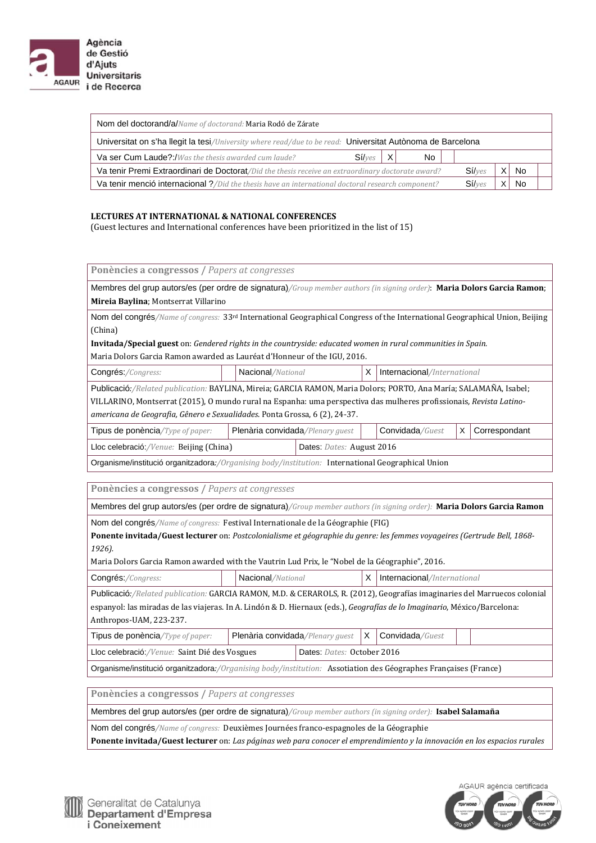

| Nom del doctorand/a/Name of doctorand: Maria Rodó de Zárate                                                |     |        |   |           |        |  |    |  |  |
|------------------------------------------------------------------------------------------------------------|-----|--------|---|-----------|--------|--|----|--|--|
| Universitat on s'ha llegit la tesi/University where read/due to be read: Universitat Autònoma de Barcelona |     |        |   |           |        |  |    |  |  |
| Va ser Cum Laude?:/Was the thesis awarded cum laude?                                                       | No. |        |   |           |        |  |    |  |  |
| Va tenir Premi Extraordinari de Doctorat/Did the thesis receive an extraordinary doctorate award?          |     | Siives | X | <b>No</b> |        |  |    |  |  |
| Va tenir menció internacional ?/Did the thesis have an international doctoral research component?          |     |        |   |           | Siives |  | No |  |  |

#### **LECTURES AT INTERNATIONAL & NATIONAL CONFERENCES**

(Guest lectures and International conferences have been prioritized in the list of 15)

| Ponències a congressos / Papers at congresses<br>X<br>Nacional/National<br>Internacional/International<br>Publicació:/Related publication: BAYLINA, Mireia; GARCIA RAMON, Maria Dolors; PORTO, Ana María; SALAMAÑA, Isabel;<br>VILLARINO, Montserrat (2015), O mundo rural na Espanha: uma perspectiva das mulheres profissionais, Revista Latino-<br>americana de Geografia, Gênero e Sexualidades. Ponta Grossa, 6 (2), 24-37.<br>X<br>Plenària convidada/Plenary guest<br>Convidada/Guest<br>Correspondant<br>Lloc celebració:/Venue: Beijing (China)<br>Dates: Dates: August 2016<br>Organisme/institució organitzadora:/Organising body/institution: International Geographical Union<br>Ponències a congressos / Papers at congresses<br>Membres del grup autors/es (per ordre de signatura)/Group member authors (in signing order): Maria Dolors Garcia Ramon<br>Nom del congrés/Name of congress: Festival Internationale de la Géographie (FIG)<br><b>Ponente invitada/Guest lecturer</b> on: Postcolonialisme et géographie du genre: les femmes voyageires (Gertrude Bell, 1868-<br>Maria Dolors Garcia Ramon awarded with the Vautrin Lud Prix, le "Nobel de la Géographie", 2016.<br>Nacional/National<br>X<br>Internacional/International<br>Publicació:/Related publication: GARCIA RAMON, M.D. & CERAROLS, R. (2012), Geografías imaginaries del Marruecos colonial<br>espanyol: las miradas de las viajeras. In A. Lindón & D. Hiernaux (eds.), Geografías de lo Imaginario, México/Barcelona:<br>X<br>Convidada/Guest<br>Plenària convidada/Plenary guest<br>Lloc celebració:/Venue: Saint Dié des Vosgues<br>Dates: Dates: October 2016<br>Organisme/institució organitzadora:/Organising body/institution: Assotiation des Géographes Françaises (France)<br>Ponències a congressos / Papers at congresses<br>Ponente invitada/Guest lecturer on: Las páginas web para conocer el emprendimiento y la innovación en los espacios rurales |                                                                                                                                         |                                                                                                              |  |  |  |  |  |  |  |  |  |
|---------------------------------------------------------------------------------------------------------------------------------------------------------------------------------------------------------------------------------------------------------------------------------------------------------------------------------------------------------------------------------------------------------------------------------------------------------------------------------------------------------------------------------------------------------------------------------------------------------------------------------------------------------------------------------------------------------------------------------------------------------------------------------------------------------------------------------------------------------------------------------------------------------------------------------------------------------------------------------------------------------------------------------------------------------------------------------------------------------------------------------------------------------------------------------------------------------------------------------------------------------------------------------------------------------------------------------------------------------------------------------------------------------------------------------------------------------------------------------------------------------------------------------------------------------------------------------------------------------------------------------------------------------------------------------------------------------------------------------------------------------------------------------------------------------------------------------------------------------------------------------------------------------------------------------------------------------------|-----------------------------------------------------------------------------------------------------------------------------------------|--------------------------------------------------------------------------------------------------------------|--|--|--|--|--|--|--|--|--|
|                                                                                                                                                                                                                                                                                                                                                                                                                                                                                                                                                                                                                                                                                                                                                                                                                                                                                                                                                                                                                                                                                                                                                                                                                                                                                                                                                                                                                                                                                                                                                                                                                                                                                                                                                                                                                                                                                                                                                               |                                                                                                                                         |                                                                                                              |  |  |  |  |  |  |  |  |  |
|                                                                                                                                                                                                                                                                                                                                                                                                                                                                                                                                                                                                                                                                                                                                                                                                                                                                                                                                                                                                                                                                                                                                                                                                                                                                                                                                                                                                                                                                                                                                                                                                                                                                                                                                                                                                                                                                                                                                                               | Membres del grup autors/es (per ordre de signatura)/Group member authors (in signing order): Maria Dolors Garcia Ramon;                 |                                                                                                              |  |  |  |  |  |  |  |  |  |
|                                                                                                                                                                                                                                                                                                                                                                                                                                                                                                                                                                                                                                                                                                                                                                                                                                                                                                                                                                                                                                                                                                                                                                                                                                                                                                                                                                                                                                                                                                                                                                                                                                                                                                                                                                                                                                                                                                                                                               | Mireia Baylina; Montserrat Villarino                                                                                                    |                                                                                                              |  |  |  |  |  |  |  |  |  |
|                                                                                                                                                                                                                                                                                                                                                                                                                                                                                                                                                                                                                                                                                                                                                                                                                                                                                                                                                                                                                                                                                                                                                                                                                                                                                                                                                                                                                                                                                                                                                                                                                                                                                                                                                                                                                                                                                                                                                               | Nom del congrés/Name of congress: 33 <sup>rd</sup> International Geographical Congress of the International Geographical Union, Beijing |                                                                                                              |  |  |  |  |  |  |  |  |  |
|                                                                                                                                                                                                                                                                                                                                                                                                                                                                                                                                                                                                                                                                                                                                                                                                                                                                                                                                                                                                                                                                                                                                                                                                                                                                                                                                                                                                                                                                                                                                                                                                                                                                                                                                                                                                                                                                                                                                                               | (China)                                                                                                                                 |                                                                                                              |  |  |  |  |  |  |  |  |  |
|                                                                                                                                                                                                                                                                                                                                                                                                                                                                                                                                                                                                                                                                                                                                                                                                                                                                                                                                                                                                                                                                                                                                                                                                                                                                                                                                                                                                                                                                                                                                                                                                                                                                                                                                                                                                                                                                                                                                                               |                                                                                                                                         | Invitada/Special guest on: Gendered rights in the countryside: educated women in rural communities in Spain. |  |  |  |  |  |  |  |  |  |
|                                                                                                                                                                                                                                                                                                                                                                                                                                                                                                                                                                                                                                                                                                                                                                                                                                                                                                                                                                                                                                                                                                                                                                                                                                                                                                                                                                                                                                                                                                                                                                                                                                                                                                                                                                                                                                                                                                                                                               | Maria Dolors Garcia Ramon awarded as Lauréat d'Honneur of the IGU, 2016.                                                                |                                                                                                              |  |  |  |  |  |  |  |  |  |
|                                                                                                                                                                                                                                                                                                                                                                                                                                                                                                                                                                                                                                                                                                                                                                                                                                                                                                                                                                                                                                                                                                                                                                                                                                                                                                                                                                                                                                                                                                                                                                                                                                                                                                                                                                                                                                                                                                                                                               | Congrés:/Congress:                                                                                                                      |                                                                                                              |  |  |  |  |  |  |  |  |  |
|                                                                                                                                                                                                                                                                                                                                                                                                                                                                                                                                                                                                                                                                                                                                                                                                                                                                                                                                                                                                                                                                                                                                                                                                                                                                                                                                                                                                                                                                                                                                                                                                                                                                                                                                                                                                                                                                                                                                                               |                                                                                                                                         |                                                                                                              |  |  |  |  |  |  |  |  |  |
|                                                                                                                                                                                                                                                                                                                                                                                                                                                                                                                                                                                                                                                                                                                                                                                                                                                                                                                                                                                                                                                                                                                                                                                                                                                                                                                                                                                                                                                                                                                                                                                                                                                                                                                                                                                                                                                                                                                                                               |                                                                                                                                         |                                                                                                              |  |  |  |  |  |  |  |  |  |
|                                                                                                                                                                                                                                                                                                                                                                                                                                                                                                                                                                                                                                                                                                                                                                                                                                                                                                                                                                                                                                                                                                                                                                                                                                                                                                                                                                                                                                                                                                                                                                                                                                                                                                                                                                                                                                                                                                                                                               |                                                                                                                                         |                                                                                                              |  |  |  |  |  |  |  |  |  |
|                                                                                                                                                                                                                                                                                                                                                                                                                                                                                                                                                                                                                                                                                                                                                                                                                                                                                                                                                                                                                                                                                                                                                                                                                                                                                                                                                                                                                                                                                                                                                                                                                                                                                                                                                                                                                                                                                                                                                               | Tipus de ponència/Type of paper:                                                                                                        |                                                                                                              |  |  |  |  |  |  |  |  |  |
|                                                                                                                                                                                                                                                                                                                                                                                                                                                                                                                                                                                                                                                                                                                                                                                                                                                                                                                                                                                                                                                                                                                                                                                                                                                                                                                                                                                                                                                                                                                                                                                                                                                                                                                                                                                                                                                                                                                                                               |                                                                                                                                         |                                                                                                              |  |  |  |  |  |  |  |  |  |
|                                                                                                                                                                                                                                                                                                                                                                                                                                                                                                                                                                                                                                                                                                                                                                                                                                                                                                                                                                                                                                                                                                                                                                                                                                                                                                                                                                                                                                                                                                                                                                                                                                                                                                                                                                                                                                                                                                                                                               |                                                                                                                                         |                                                                                                              |  |  |  |  |  |  |  |  |  |
|                                                                                                                                                                                                                                                                                                                                                                                                                                                                                                                                                                                                                                                                                                                                                                                                                                                                                                                                                                                                                                                                                                                                                                                                                                                                                                                                                                                                                                                                                                                                                                                                                                                                                                                                                                                                                                                                                                                                                               |                                                                                                                                         |                                                                                                              |  |  |  |  |  |  |  |  |  |
|                                                                                                                                                                                                                                                                                                                                                                                                                                                                                                                                                                                                                                                                                                                                                                                                                                                                                                                                                                                                                                                                                                                                                                                                                                                                                                                                                                                                                                                                                                                                                                                                                                                                                                                                                                                                                                                                                                                                                               |                                                                                                                                         |                                                                                                              |  |  |  |  |  |  |  |  |  |
|                                                                                                                                                                                                                                                                                                                                                                                                                                                                                                                                                                                                                                                                                                                                                                                                                                                                                                                                                                                                                                                                                                                                                                                                                                                                                                                                                                                                                                                                                                                                                                                                                                                                                                                                                                                                                                                                                                                                                               |                                                                                                                                         |                                                                                                              |  |  |  |  |  |  |  |  |  |
|                                                                                                                                                                                                                                                                                                                                                                                                                                                                                                                                                                                                                                                                                                                                                                                                                                                                                                                                                                                                                                                                                                                                                                                                                                                                                                                                                                                                                                                                                                                                                                                                                                                                                                                                                                                                                                                                                                                                                               |                                                                                                                                         |                                                                                                              |  |  |  |  |  |  |  |  |  |
|                                                                                                                                                                                                                                                                                                                                                                                                                                                                                                                                                                                                                                                                                                                                                                                                                                                                                                                                                                                                                                                                                                                                                                                                                                                                                                                                                                                                                                                                                                                                                                                                                                                                                                                                                                                                                                                                                                                                                               |                                                                                                                                         |                                                                                                              |  |  |  |  |  |  |  |  |  |
|                                                                                                                                                                                                                                                                                                                                                                                                                                                                                                                                                                                                                                                                                                                                                                                                                                                                                                                                                                                                                                                                                                                                                                                                                                                                                                                                                                                                                                                                                                                                                                                                                                                                                                                                                                                                                                                                                                                                                               | 1926).                                                                                                                                  |                                                                                                              |  |  |  |  |  |  |  |  |  |
|                                                                                                                                                                                                                                                                                                                                                                                                                                                                                                                                                                                                                                                                                                                                                                                                                                                                                                                                                                                                                                                                                                                                                                                                                                                                                                                                                                                                                                                                                                                                                                                                                                                                                                                                                                                                                                                                                                                                                               |                                                                                                                                         |                                                                                                              |  |  |  |  |  |  |  |  |  |
|                                                                                                                                                                                                                                                                                                                                                                                                                                                                                                                                                                                                                                                                                                                                                                                                                                                                                                                                                                                                                                                                                                                                                                                                                                                                                                                                                                                                                                                                                                                                                                                                                                                                                                                                                                                                                                                                                                                                                               | Congrés:/Congress:                                                                                                                      |                                                                                                              |  |  |  |  |  |  |  |  |  |
|                                                                                                                                                                                                                                                                                                                                                                                                                                                                                                                                                                                                                                                                                                                                                                                                                                                                                                                                                                                                                                                                                                                                                                                                                                                                                                                                                                                                                                                                                                                                                                                                                                                                                                                                                                                                                                                                                                                                                               |                                                                                                                                         |                                                                                                              |  |  |  |  |  |  |  |  |  |
|                                                                                                                                                                                                                                                                                                                                                                                                                                                                                                                                                                                                                                                                                                                                                                                                                                                                                                                                                                                                                                                                                                                                                                                                                                                                                                                                                                                                                                                                                                                                                                                                                                                                                                                                                                                                                                                                                                                                                               |                                                                                                                                         |                                                                                                              |  |  |  |  |  |  |  |  |  |
|                                                                                                                                                                                                                                                                                                                                                                                                                                                                                                                                                                                                                                                                                                                                                                                                                                                                                                                                                                                                                                                                                                                                                                                                                                                                                                                                                                                                                                                                                                                                                                                                                                                                                                                                                                                                                                                                                                                                                               | Anthropos-UAM, 223-237.                                                                                                                 |                                                                                                              |  |  |  |  |  |  |  |  |  |
|                                                                                                                                                                                                                                                                                                                                                                                                                                                                                                                                                                                                                                                                                                                                                                                                                                                                                                                                                                                                                                                                                                                                                                                                                                                                                                                                                                                                                                                                                                                                                                                                                                                                                                                                                                                                                                                                                                                                                               | Tipus de ponència/Type of paper:                                                                                                        |                                                                                                              |  |  |  |  |  |  |  |  |  |
|                                                                                                                                                                                                                                                                                                                                                                                                                                                                                                                                                                                                                                                                                                                                                                                                                                                                                                                                                                                                                                                                                                                                                                                                                                                                                                                                                                                                                                                                                                                                                                                                                                                                                                                                                                                                                                                                                                                                                               |                                                                                                                                         |                                                                                                              |  |  |  |  |  |  |  |  |  |
|                                                                                                                                                                                                                                                                                                                                                                                                                                                                                                                                                                                                                                                                                                                                                                                                                                                                                                                                                                                                                                                                                                                                                                                                                                                                                                                                                                                                                                                                                                                                                                                                                                                                                                                                                                                                                                                                                                                                                               |                                                                                                                                         |                                                                                                              |  |  |  |  |  |  |  |  |  |
|                                                                                                                                                                                                                                                                                                                                                                                                                                                                                                                                                                                                                                                                                                                                                                                                                                                                                                                                                                                                                                                                                                                                                                                                                                                                                                                                                                                                                                                                                                                                                                                                                                                                                                                                                                                                                                                                                                                                                               |                                                                                                                                         |                                                                                                              |  |  |  |  |  |  |  |  |  |
|                                                                                                                                                                                                                                                                                                                                                                                                                                                                                                                                                                                                                                                                                                                                                                                                                                                                                                                                                                                                                                                                                                                                                                                                                                                                                                                                                                                                                                                                                                                                                                                                                                                                                                                                                                                                                                                                                                                                                               |                                                                                                                                         |                                                                                                              |  |  |  |  |  |  |  |  |  |
|                                                                                                                                                                                                                                                                                                                                                                                                                                                                                                                                                                                                                                                                                                                                                                                                                                                                                                                                                                                                                                                                                                                                                                                                                                                                                                                                                                                                                                                                                                                                                                                                                                                                                                                                                                                                                                                                                                                                                               | Membres del grup autors/es (per ordre de signatura)/Group member authors (in signing order): Isabel Salamaña                            |                                                                                                              |  |  |  |  |  |  |  |  |  |
|                                                                                                                                                                                                                                                                                                                                                                                                                                                                                                                                                                                                                                                                                                                                                                                                                                                                                                                                                                                                                                                                                                                                                                                                                                                                                                                                                                                                                                                                                                                                                                                                                                                                                                                                                                                                                                                                                                                                                               | Nom del congrés/Name of congress: Deuxièmes Journées franco-espagnoles de la Géographie                                                 |                                                                                                              |  |  |  |  |  |  |  |  |  |
|                                                                                                                                                                                                                                                                                                                                                                                                                                                                                                                                                                                                                                                                                                                                                                                                                                                                                                                                                                                                                                                                                                                                                                                                                                                                                                                                                                                                                                                                                                                                                                                                                                                                                                                                                                                                                                                                                                                                                               |                                                                                                                                         |                                                                                                              |  |  |  |  |  |  |  |  |  |

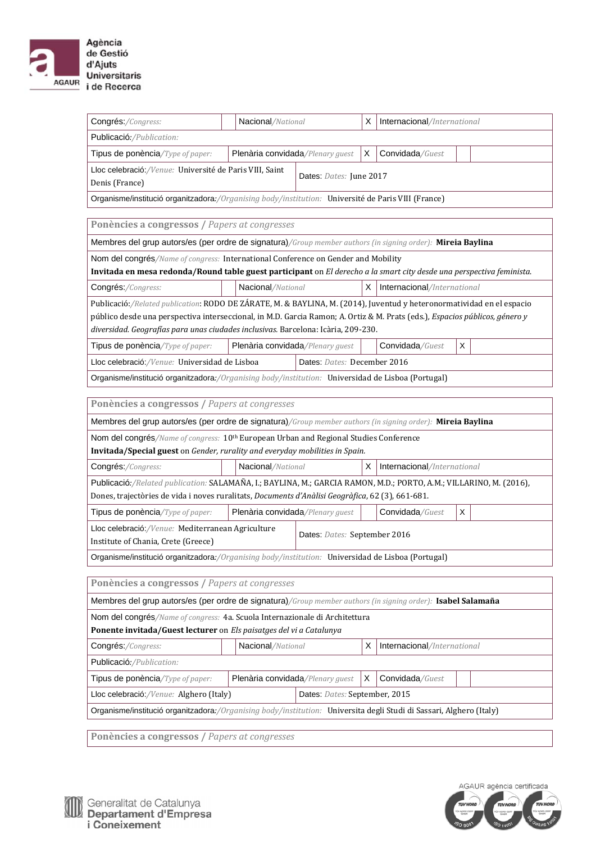

| Congrés:/Congress:                                                                                                                                                                                                                                                                                                                        | Nacional/National                |                               | X | Internacional/International |   |  |  |  |  |
|-------------------------------------------------------------------------------------------------------------------------------------------------------------------------------------------------------------------------------------------------------------------------------------------------------------------------------------------|----------------------------------|-------------------------------|---|-----------------------------|---|--|--|--|--|
| Publicació:/Publication:                                                                                                                                                                                                                                                                                                                  |                                  |                               |   |                             |   |  |  |  |  |
| Tipus de ponència/Type of paper:                                                                                                                                                                                                                                                                                                          | Plenària convidada/Plenary guest |                               | X | Convidada/Guest             |   |  |  |  |  |
| Lloc celebració:/Venue: Université de Paris VIII, Saint<br>Denis (France)                                                                                                                                                                                                                                                                 |                                  | Dates: Dates: June 2017       |   |                             |   |  |  |  |  |
| Organisme/institució organitzadora:/Organising body/institution: Université de Paris VIII (France)                                                                                                                                                                                                                                        |                                  |                               |   |                             |   |  |  |  |  |
|                                                                                                                                                                                                                                                                                                                                           |                                  |                               |   |                             |   |  |  |  |  |
| Ponències a congressos / Papers at congresses                                                                                                                                                                                                                                                                                             |                                  |                               |   |                             |   |  |  |  |  |
| Membres del grup autors/es (per ordre de signatura)/Group member authors (in signing order): Mireia Baylina                                                                                                                                                                                                                               |                                  |                               |   |                             |   |  |  |  |  |
| Nom del congrés/Name of congress: International Conference on Gender and Mobility<br>Invitada en mesa redonda/Round table guest participant on El derecho a la smart city desde una perspectiva feminista.                                                                                                                                |                                  |                               |   |                             |   |  |  |  |  |
| Congrés:/Congress:                                                                                                                                                                                                                                                                                                                        | Nacional/National                |                               | х | Internacional/International |   |  |  |  |  |
| Publicació:/Related publication: RODO DE ZÁRATE, M. & BAYLINA, M. (2014), Juventud y heteronormatividad en el espacio<br>público desde una perspectiva interseccional, in M.D. Garcia Ramon; A. Ortiz & M. Prats (eds.), Espacios públicos, género y<br>diversidad. Geografías para unas ciudades inclusivas. Barcelona: Icària, 209-230. |                                  |                               |   |                             |   |  |  |  |  |
| Tipus de ponència/Type of paper:                                                                                                                                                                                                                                                                                                          | Plenària convidada/Plenary guest |                               |   | Convidada/Guest             | X |  |  |  |  |
| Lloc celebració:/Venue: Universidad de Lisboa                                                                                                                                                                                                                                                                                             |                                  | Dates: Dates: December 2016   |   |                             |   |  |  |  |  |
| Organisme/institució organitzadora:/Organising body/institution: Universidad de Lisboa (Portugal)                                                                                                                                                                                                                                         |                                  |                               |   |                             |   |  |  |  |  |
|                                                                                                                                                                                                                                                                                                                                           |                                  |                               |   |                             |   |  |  |  |  |
| Ponències a congressos / Papers at congresses                                                                                                                                                                                                                                                                                             |                                  |                               |   |                             |   |  |  |  |  |
| Membres del grup autors/es (per ordre de signatura)/Group member authors (in signing order): Mireia Baylina                                                                                                                                                                                                                               |                                  |                               |   |                             |   |  |  |  |  |
| Nom del congrés/Name of congress: 10 <sup>th</sup> European Urban and Regional Studies Conference<br>Invitada/Special guest on Gender, rurality and everyday mobilities in Spain.                                                                                                                                                         |                                  |                               |   |                             |   |  |  |  |  |
| Congrés:/Congress:                                                                                                                                                                                                                                                                                                                        | Nacional/National                |                               | X | Internacional/International |   |  |  |  |  |
| Publicació:/Related publication: SALAMAÑA, I.; BAYLINA, M.; GARCIA RAMON, M.D.; PORTO, A.M.; VILLARINO, M. (2016),                                                                                                                                                                                                                        |                                  |                               |   |                             |   |  |  |  |  |
| Dones, trajectòries de vida i noves ruralitats, Documents d'Anàlisi Geogràfica, 62 (3), 661-681.                                                                                                                                                                                                                                          |                                  |                               |   |                             |   |  |  |  |  |
| Tipus de ponència/Type of paper:                                                                                                                                                                                                                                                                                                          | Plenària convidada/Plenary guest |                               |   | Convidada/Guest             | X |  |  |  |  |
| Lloc celebració: /Venue: Mediterranean Agriculture<br>Institute of Chania, Crete (Greece)                                                                                                                                                                                                                                                 |                                  | Dates: Dates: September 2016  |   |                             |   |  |  |  |  |
| Organisme/institució organitzadora:/Organising body/institution: Universidad de Lisboa (Portugal)                                                                                                                                                                                                                                         |                                  |                               |   |                             |   |  |  |  |  |
| Ponències a congressos / Papers at congresses                                                                                                                                                                                                                                                                                             |                                  |                               |   |                             |   |  |  |  |  |
| Membres del grup autors/es (per ordre de signatura)/Group member authors (in signing order): Isabel Salamaña                                                                                                                                                                                                                              |                                  |                               |   |                             |   |  |  |  |  |
| Nom del congrés/Name of congress: 4a. Scuola Internazionale di Architettura<br>Ponente invitada/Guest lecturer on Els paisatges del vi a Catalunya                                                                                                                                                                                        |                                  |                               |   |                             |   |  |  |  |  |
| Congrés:/Congress:                                                                                                                                                                                                                                                                                                                        | Nacional/National                |                               | х | Internacional/International |   |  |  |  |  |
| Publicació:/Publication:                                                                                                                                                                                                                                                                                                                  |                                  |                               |   |                             |   |  |  |  |  |
| Tipus de ponència/Type of paper:                                                                                                                                                                                                                                                                                                          | Plenària convidada/Plenary guest |                               | X | Convidada/Guest             |   |  |  |  |  |
| Lloc celebració:/Venue: Alghero (Italy)                                                                                                                                                                                                                                                                                                   |                                  | Dates: Dates: September, 2015 |   |                             |   |  |  |  |  |
| Organisme/institució organitzadora:/Organising body/institution: Universita degli Studi di Sassari, Alghero (Italy)                                                                                                                                                                                                                       |                                  |                               |   |                             |   |  |  |  |  |
|                                                                                                                                                                                                                                                                                                                                           |                                  |                               |   |                             |   |  |  |  |  |

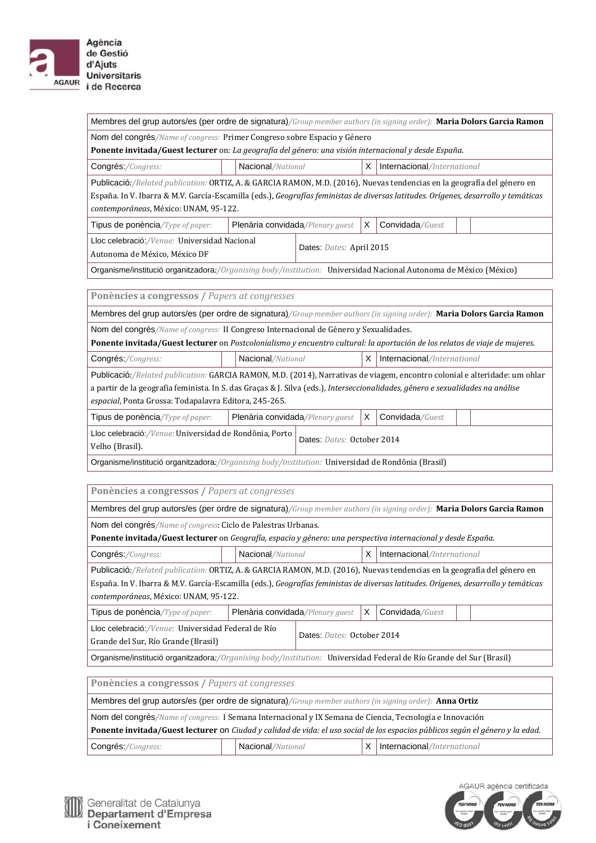

| Membres del grup autors/es (per ordre de signatura)/Group member authors (in signing order): Maria Dolors Garcia Ramon                                                                                                                                                                                                |                                  |                            |    |                             |  |  |  |  |
|-----------------------------------------------------------------------------------------------------------------------------------------------------------------------------------------------------------------------------------------------------------------------------------------------------------------------|----------------------------------|----------------------------|----|-----------------------------|--|--|--|--|
| Nom del congrés/Name of congress: Primer Congreso sobre Espacio y Género<br>Ponente invitada/Guest lecturer on: La geografía del género: una visión internacional y desde España.                                                                                                                                     |                                  |                            |    |                             |  |  |  |  |
| Congrés:/Congress:                                                                                                                                                                                                                                                                                                    | Nacional/National                |                            | X  | Internacional/International |  |  |  |  |
| Publicació:/Related publication: ORTIZ, A. & GARCIA RAMON, M.D. (2016), Nuevas tendencias en la geografía del género en<br>España. In V. Ibarra & M.V. García-Escamilla (eds.), Geografías feministas de diversas latitudes. Orígenes, desarrollo y temáticas<br>contemporáneas, México: UNAM, 95-122.                |                                  |                            |    |                             |  |  |  |  |
| Tipus de ponència/Type of paper:                                                                                                                                                                                                                                                                                      | Plenària convidada/Plenary guest |                            | Χ  | Convidada/Guest             |  |  |  |  |
| Lloc celebració:/Venue: Universidad Nacional<br>Autonoma de México, México DF                                                                                                                                                                                                                                         |                                  | Dates: Dates: April 2015   |    |                             |  |  |  |  |
| Organisme/institució organitzadora:/Organising body/institution: Universidad Nacional Autonoma de México (México)                                                                                                                                                                                                     |                                  |                            |    |                             |  |  |  |  |
|                                                                                                                                                                                                                                                                                                                       |                                  |                            |    |                             |  |  |  |  |
| Ponències a congressos / Papers at congresses                                                                                                                                                                                                                                                                         |                                  |                            |    |                             |  |  |  |  |
| Membres del grup autors/es (per ordre de signatura)/Group member authors (in signing order): Maria Dolors Garcia Ramon                                                                                                                                                                                                |                                  |                            |    |                             |  |  |  |  |
| Nom del congrés/Name of congress: II Congreso Internacional de Género y Sexualidades.                                                                                                                                                                                                                                 |                                  |                            |    |                             |  |  |  |  |
| Ponente invitada/Guest lecturer on Postcolonialismo y encuentro cultural: la aportación de los relatos de viaje de mujeres.                                                                                                                                                                                           |                                  |                            | X. |                             |  |  |  |  |
| Congrés:/Congress:                                                                                                                                                                                                                                                                                                    | Nacional/National                |                            |    | Internacional/International |  |  |  |  |
| Publicació:/Related publication: GARCIA RAMON, M.D. (2014), Narrativas de viagem, encontro colonial e alteridade: um ohlar<br>a partir de la geografia feminista. In S. das Graças & J. Silva (eds.), Interseccionalidades, gênero e sexualidades na análise<br>espacial, Ponta Grossa: Todapalavra Editora, 245-265. |                                  |                            |    |                             |  |  |  |  |
| Tipus de ponència/Type of paper:                                                                                                                                                                                                                                                                                      | Plenària convidada/Plenary guest |                            | х  | Convidada/Guest             |  |  |  |  |
| Lloc celebració: /Venue: Universidad de Rondônia, Porto<br>Velho (Brasil).                                                                                                                                                                                                                                            |                                  | Dates: Dates: October 2014 |    |                             |  |  |  |  |
| Organisme/institució organitzadora:/Organising body/institution: Universidad de Rondônia (Brasil)                                                                                                                                                                                                                     |                                  |                            |    |                             |  |  |  |  |
| Ponències a congressos / Papers at congresses                                                                                                                                                                                                                                                                         |                                  |                            |    |                             |  |  |  |  |
| Membres del grup autors/es (per ordre de signatura)/Group member authors (in signing order): Maria Dolors Garcia Ramon                                                                                                                                                                                                |                                  |                            |    |                             |  |  |  |  |
| Nom del congrés/Name of congress: Ciclo de Palestras Urbanas.                                                                                                                                                                                                                                                         |                                  |                            |    |                             |  |  |  |  |
| Ponente invitada/Guest lecturer on Geografía, espacio y género: una perspectiva internacional y desde España.                                                                                                                                                                                                         |                                  |                            |    |                             |  |  |  |  |
| Congrés:/Congress:                                                                                                                                                                                                                                                                                                    | Nacional/National                |                            | Х  | Internacional/International |  |  |  |  |
| Publicació:/Related publication: ORTIZ, A. & GARCIA RAMON, M.D. (2016), Nuevas tendencias en la geografía del género en<br>España. In V. Ibarra & M.V. García-Escamilla (eds.), Geografías feministas de diversas latitudes. Orígenes, desarrollo y temáticas<br>contemporáneas, México: UNAM, 95-122.                |                                  |                            |    |                             |  |  |  |  |
| Tipus de ponència/Type of paper:                                                                                                                                                                                                                                                                                      | Plenària convidada/Plenary guest |                            | X  | Convidada/Guest             |  |  |  |  |
| Lloc celebració: / Venue: Universidad Federal de Río<br>Grande del Sur, Río Grande (Brasil)                                                                                                                                                                                                                           |                                  | Dates: Dates: October 2014 |    |                             |  |  |  |  |
| Organisme/institució organitzadora:/Organising body/institution: Universidad Federal de Río Grande del Sur (Brasil)                                                                                                                                                                                                   |                                  |                            |    |                             |  |  |  |  |
|                                                                                                                                                                                                                                                                                                                       |                                  |                            |    |                             |  |  |  |  |
| Ponències a congressos / Papers at congresses                                                                                                                                                                                                                                                                         |                                  |                            |    |                             |  |  |  |  |
| Membres del grup autors/es (per ordre de signatura)/Group member authors (in signing order): Anna Ortiz                                                                                                                                                                                                               |                                  |                            |    |                             |  |  |  |  |
| Nom del congrés/Name of congress: I Semana Internacional y IX Semana de Ciencia, Tecnología e Innovación                                                                                                                                                                                                              |                                  |                            |    |                             |  |  |  |  |
| Ponente invitada/Guest lecturer on Ciudad y calidad de vida: el uso social de los espacios públicos según el género y la edad.                                                                                                                                                                                        |                                  |                            |    |                             |  |  |  |  |
| Congrés:/Congress:                                                                                                                                                                                                                                                                                                    | Nacional/National                |                            | х  | Internacional/International |  |  |  |  |



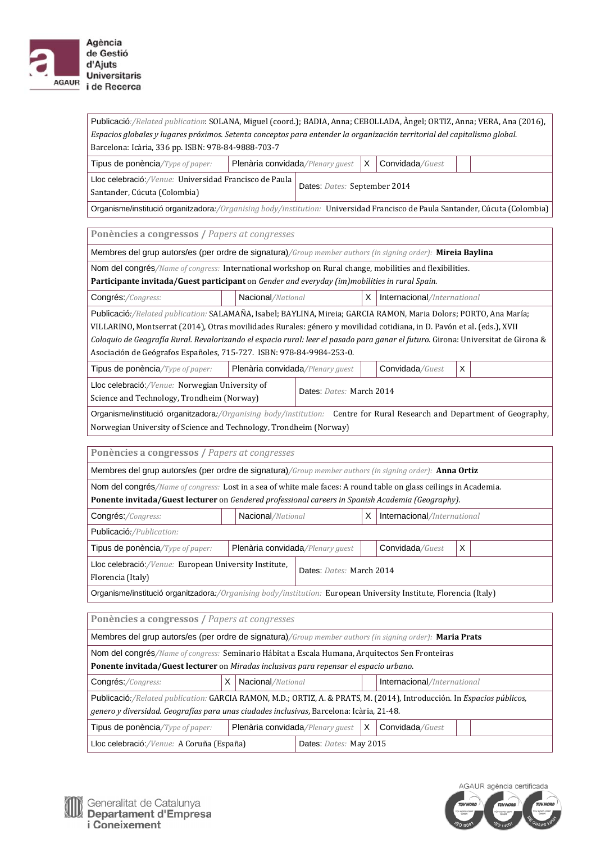

| Publicació:/Related publication: SOLANA, Miguel (coord.); BADIA, Anna; CEBOLLADA, Àngel; ORTIZ, Anna; VERA, Ana (2016),<br>Espacios globales y lugares próximos. Setenta conceptos para entender la organización territorial del capitalismo global.<br>Barcelona: Icària, 336 pp. ISBN: 978-84-9888-703-7                                                                                                                                               |                                  |                              |                                   |                             |   |  |
|----------------------------------------------------------------------------------------------------------------------------------------------------------------------------------------------------------------------------------------------------------------------------------------------------------------------------------------------------------------------------------------------------------------------------------------------------------|----------------------------------|------------------------------|-----------------------------------|-----------------------------|---|--|
| Tipus de ponència/Type of paper:                                                                                                                                                                                                                                                                                                                                                                                                                         | Plenària convidada/Plenary guest |                              | X                                 | Convidada/Guest             |   |  |
| Lloc celebració:/Venue: Universidad Francisco de Paula<br>Santander, Cúcuta (Colombia)                                                                                                                                                                                                                                                                                                                                                                   |                                  | Dates: Dates: September 2014 |                                   |                             |   |  |
| Organisme/institució organitzadora:/Organising body/institution: Universidad Francisco de Paula Santander, Cúcuta (Colombia)                                                                                                                                                                                                                                                                                                                             |                                  |                              |                                   |                             |   |  |
| Ponències a congressos / Papers at congresses                                                                                                                                                                                                                                                                                                                                                                                                            |                                  |                              |                                   |                             |   |  |
| Membres del grup autors/es (per ordre de signatura)/Group member authors (in signing order): Mireia Baylina                                                                                                                                                                                                                                                                                                                                              |                                  |                              |                                   |                             |   |  |
| Nom del congrés/Name of congress: International workshop on Rural change, mobilities and flexibilities.                                                                                                                                                                                                                                                                                                                                                  |                                  |                              |                                   |                             |   |  |
| Participante invitada/Guest participant on Gender and everyday (im)mobilities in rural Spain.                                                                                                                                                                                                                                                                                                                                                            |                                  |                              |                                   |                             |   |  |
| Congrés:/Congress:                                                                                                                                                                                                                                                                                                                                                                                                                                       | Nacional/National                |                              | X                                 | Internacional/International |   |  |
| Publicació:/Related publication: SALAMAÑA, Isabel; BAYLINA, Mireia; GARCIA RAMON, Maria Dolors; PORTO, Ana María;<br>VILLARINO, Montserrat (2014), Otras movilidades Rurales: género y movilidad cotidiana, in D. Pavón et al. (eds.), XVII<br>Coloquio de Geografía Rural. Revalorizando el espacio rural: leer el pasado para ganar el futuro. Girona: Universitat de Girona &<br>Asociación de Geógrafos Españoles, 715-727. ISBN: 978-84-9984-253-0. |                                  |                              |                                   |                             |   |  |
| Tipus de ponència/Type of paper:                                                                                                                                                                                                                                                                                                                                                                                                                         | Plenària convidada/Plenary guest |                              |                                   | Convidada/Guest             | X |  |
| Lloc celebració:/Venue: Norwegian University of<br>Dates: Dates: March 2014<br>Science and Technology, Trondheim (Norway)                                                                                                                                                                                                                                                                                                                                |                                  |                              |                                   |                             |   |  |
| Organisme/institució organitzadora:/Organising body/institution: Centre for Rural Research and Department of Geography,<br>Norwegian University of Science and Technology, Trondheim (Norway)                                                                                                                                                                                                                                                            |                                  |                              |                                   |                             |   |  |
| Ponències a congressos / Papers at congresses                                                                                                                                                                                                                                                                                                                                                                                                            |                                  |                              |                                   |                             |   |  |
| Membres del grup autors/es (per ordre de signatura)/Group member authors (in signing order): Anna Ortiz                                                                                                                                                                                                                                                                                                                                                  |                                  |                              |                                   |                             |   |  |
| Nom del congrés/Name of congress: Lost in a sea of white male faces: A round table on glass ceilings in Academia.<br>Ponente invitada/Guest lecturer on Gendered professional careers in Spanish Academia (Geography).                                                                                                                                                                                                                                   |                                  |                              |                                   |                             |   |  |
| Congrés:/Congress:                                                                                                                                                                                                                                                                                                                                                                                                                                       | Nacional/National                |                              | X.<br>Internacional/International |                             |   |  |
| Publicació:/Publication:                                                                                                                                                                                                                                                                                                                                                                                                                                 |                                  |                              |                                   |                             |   |  |
| Tipus de ponència/Type of paper:                                                                                                                                                                                                                                                                                                                                                                                                                         | Plenària convidada/Plenary guest |                              |                                   | Convidada/Guest             | X |  |
| Lloc celebració:/Venue: European University Institute,<br>Dates: Dates: March 2014<br>Florencia (Italy)<br>Organisme/institució organitzadora:/Organising body/institution: European University Institute, Florencia (Italy)                                                                                                                                                                                                                             |                                  |                              |                                   |                             |   |  |
| Ponències a congressos / Papers at congresses                                                                                                                                                                                                                                                                                                                                                                                                            |                                  |                              |                                   |                             |   |  |
| Membres del grup autors/es (per ordre de signatura)/Group member authors (in signing order): Maria Prats                                                                                                                                                                                                                                                                                                                                                 |                                  |                              |                                   |                             |   |  |
| Nom del congrés/Name of congress: Seminario Hábitat a Escala Humana, Arquitectos Sen Fronteiras<br>Ponente invitada/Guest lecturer on Miradas inclusivas para repensar el espacio urbano.                                                                                                                                                                                                                                                                |                                  |                              |                                   |                             |   |  |
| Congrés:/Congress:                                                                                                                                                                                                                                                                                                                                                                                                                                       | X<br>Nacional/National           |                              |                                   | Internacional/International |   |  |
| Publicació:/Related publication: GARCIA RAMON, M.D.; ORTIZ, A. & PRATS, M. (2014), Introducción. In Espacios públicos,<br>genero y diversidad. Geografías para unas ciudades inclusivas, Barcelona: Icària, 21-48.                                                                                                                                                                                                                                       |                                  |                              |                                   |                             |   |  |
| Tipus de ponència/Type of paper:                                                                                                                                                                                                                                                                                                                                                                                                                         | Plenària convidada/Plenary guest |                              | X                                 | Convidada/Guest             |   |  |
| Lloc celebració:/Venue: A Coruña (España)                                                                                                                                                                                                                                                                                                                                                                                                                |                                  | Dates: Dates: May 2015       |                                   |                             |   |  |
|                                                                                                                                                                                                                                                                                                                                                                                                                                                          |                                  |                              |                                   |                             |   |  |

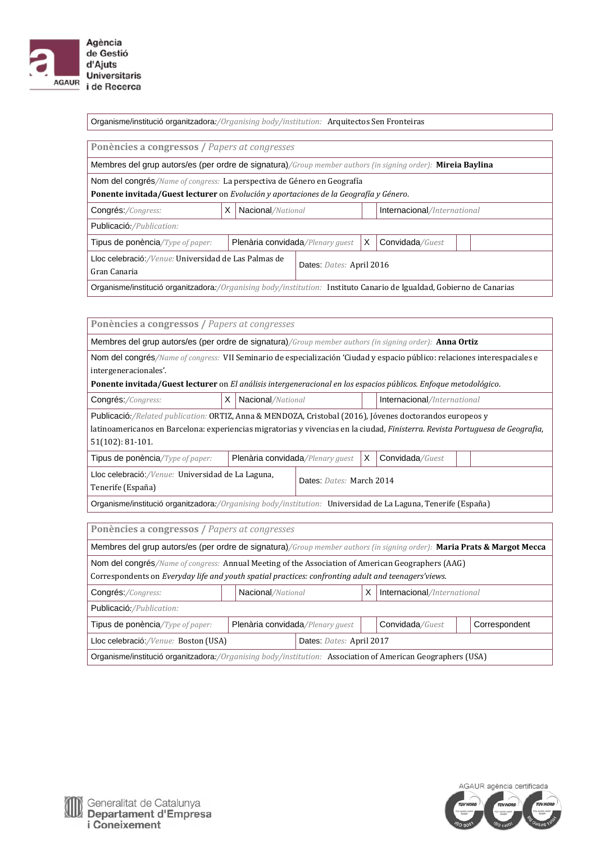

Organisme/institució organitzadora*:/Organising body/institution:* Arquitectos Sen Fronteiras

**Ponències a congressos /** *Papers at congresses*

Membres del grup autors/es (per ordre de signatura)*/Group member authors (in signing order):* **Mireia Baylina**

Nom del congrés/Name of congress: La perspectiva de Género en Geografía

**Ponente invitada/Guest lecturer** on *Evolución y aportaciones de la Geografía y Género*.

| Congrés:/Congress:                                                                                                   |  | Nacional/National                                        |  |  | Internacional/International |  |
|----------------------------------------------------------------------------------------------------------------------|--|----------------------------------------------------------|--|--|-----------------------------|--|
| Publicació:/Publication:                                                                                             |  |                                                          |  |  |                             |  |
| Tipus de ponència/Type of paper:                                                                                     |  | Plenària convidada/Plenary quest<br>X<br>Convidada/Guest |  |  |                             |  |
| Lloc celebració:/Venue: Universidad de Las Palmas de<br>Dates: Dates: April 2016                                     |  |                                                          |  |  |                             |  |
| Gran Canaria                                                                                                         |  |                                                          |  |  |                             |  |
| Organisme/institució organitzadora:/Organising body/institution: Instituto Canario de Igualdad, Gobierno de Canarias |  |                                                          |  |  |                             |  |

**Ponències a congressos /** *Papers at congresses*

Membres del grup autors/es (per ordre de signatura)*/Group member authors (in signing order):* **Anna Ortiz**

Nom del congrés/Name of congress: VII Seminario de especialización 'Ciudad y espacio público: relaciones interespaciales e intergeneracionales'. 

**Ponente invitada/Guest lecturer** on *El análisis intergeneracional en los espacios públicos. Enfoque metodológico*.

| Congrés:/Congress: |  | X   Nacional/National |  | Internacional/International |
|--------------------|--|-----------------------|--|-----------------------------|
|--------------------|--|-----------------------|--|-----------------------------|

Publicació:/Related publication: ORTIZ, Anna & MENDOZA, Cristobal (2016), Jóvenes doctorandos europeos y latinoamericanos en Barcelona: experiencias migratorias y vivencias en la ciudad*, Finisterra. Revista Portuguesa de Geografia*, 51(102): 81‐101.

| Tipus de ponència/Type of paper:                          | <b>Plenària convidada/Plenary guest</b> |                          | . X | Convidada/Guest |  |  |
|-----------------------------------------------------------|-----------------------------------------|--------------------------|-----|-----------------|--|--|
| Lloc celebració:/ <i>Venue:</i> Universidad de La Laguna, |                                         | Dates: Dates: March 2014 |     |                 |  |  |
| Tenerife (España)                                         |                                         |                          |     |                 |  |  |

Organisme/institució organitzadora*:/Organising body/institution:* Universidad de La Laguna, Tenerife (España)

**Ponències a congressos /** *Papers at congresses*

| Membres del grup autors/es (per ordre de signatura)/Group member authors (in signing order): Maria Prats & Margot Mecca |                                                                      |                   |  |  |                             |  |  |
|-------------------------------------------------------------------------------------------------------------------------|----------------------------------------------------------------------|-------------------|--|--|-----------------------------|--|--|
| Nom del congrés/Name of congress: Annual Meeting of the Association of American Geographers (AAG)                       |                                                                      |                   |  |  |                             |  |  |
| Correspondents on Everyday life and youth spatial practices: confronting adult and teenagers' views.                    |                                                                      |                   |  |  |                             |  |  |
| Congrés:/Congress:                                                                                                      |                                                                      | Nacional/National |  |  | Internacional/International |  |  |
| Publicació:/Publication:                                                                                                |                                                                      |                   |  |  |                             |  |  |
| Tipus de ponència/Type of paper:                                                                                        | Plenària convidada/Plenary quest<br>Convidada/Guest<br>Correspondent |                   |  |  |                             |  |  |
| Dates: Dates: April 2017<br>Lloc celebració:/Venue: Boston (USA)                                                        |                                                                      |                   |  |  |                             |  |  |
| Organisme/institució organitzadora:/Organising body/institution: Association of American Geographers (USA)              |                                                                      |                   |  |  |                             |  |  |

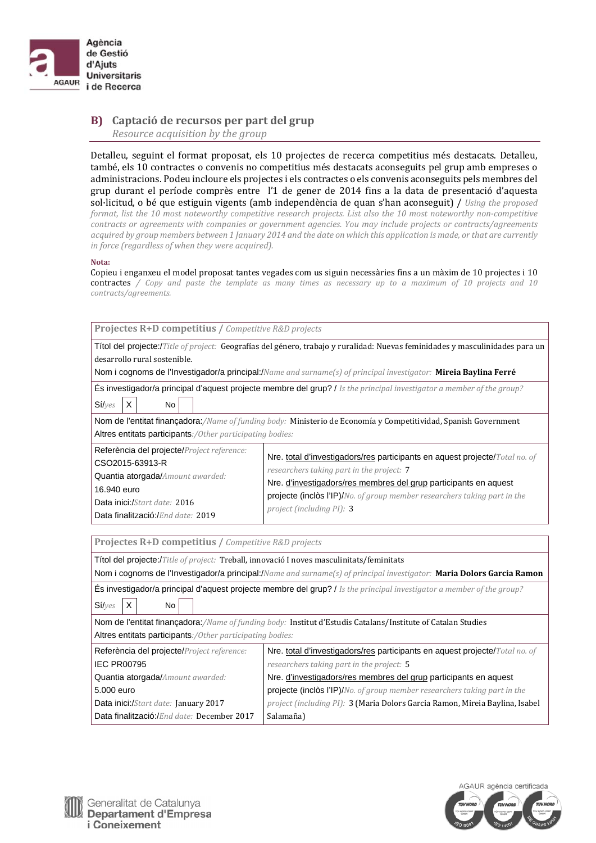

## **B) Captació de recursos per part del grup** *Resource acquisition by the group*

Detalleu, seguint el format proposat, els 10 projectes de recerca competitius més destacats. Detalleu, també, els 10 contractes o convenis no competitius més destacats aconseguits pel grup amb empreses o administracions. Podeu incloure els projectes i els contractes o els convenis aconseguits pels membres del grup durant el període comprès entre l'1 de gener de 2014 fins a la data de presentació d'aquesta sol·licitud, o bé que estiguin vigents (amb independència de quan s'han aconseguit) / *Using the proposed* format, list the 10 most noteworthy competitive research projects. List also the 10 most noteworthy non-competitive *contracts or agreements with companies or government agencies. You may include projects or contracts/agreements* acquired by group members between 1 January 2014 and the date on which this application is made, or that are currently *in force (regardless of when they were acquired).* 

#### **Nota:**

Copieu i enganxeu el model proposat tantes vegades com us siguin necessàries fins a un màxim de 10 projectes i 10 contractes / Copy and paste the template as many times as necessary up to a maximum of 10 projects and 10 *contracts/agreements.*

| Projectes R+D competitius / Competitive R&D projects                                                                                                                                  |                                                                                                                                                                                                                                                                                                        |
|---------------------------------------------------------------------------------------------------------------------------------------------------------------------------------------|--------------------------------------------------------------------------------------------------------------------------------------------------------------------------------------------------------------------------------------------------------------------------------------------------------|
| desarrollo rural sostenible.                                                                                                                                                          | Títol del projecte:/Title of project: Geografías del género, trabajo y ruralidad: Nuevas feminidades y masculinidades para un<br>Nom i cognoms de l'Investigador/a principal:/Name and surname(s) of principal investigator: Mireia Baylina Ferré                                                      |
| X<br>Sí/yes<br><b>No</b>                                                                                                                                                              | És investigador/a principal d'aquest projecte membre del grup? / Is the principal investigator a member of the group?                                                                                                                                                                                  |
| Altres entitats participants:/0ther participating bodies:                                                                                                                             | Nom de l'entitat finançadora:/Name of funding body: Ministerio de Economía y Competitividad, Spanish Government                                                                                                                                                                                        |
| Referència del projecte/Project reference:<br>CSO2015-63913-R<br>Quantia atorgada/Amount awarded:<br>16.940 euro<br>Data inici:/Start date: 2016<br>Data finalització:/End date: 2019 | Nre. total d'investigadors/res participants en aquest projecte/Total no. of<br>researchers taking part in the project: 7<br>Nre. d'investigadors/res membres del grup participants en aquest<br>projecte (inclòs l'IP)/No. of group member researchers taking part in the<br>project (including PI): 3 |
| Projectes R+D competitius / Competitive R&D projects                                                                                                                                  |                                                                                                                                                                                                                                                                                                        |
| Títol del projecte:/Title of project: Treball, innovació I noves masculinitats/feminitats                                                                                             | Nom i cognoms de l'Investigador/a principal:/Name and surname(s) of principal investigator: Maria Dolors Garcia Ramon                                                                                                                                                                                  |
| X<br>Sí/yes<br>No<br>Altres entitats participants:/Other participating bodies:                                                                                                        | <b>És investigador/a principal d'aquest projecte membre del grup?</b> / Is the principal investigator a member of the group?<br>Nom de l'entitat finançadora:/Name of funding body: Institut d'Estudis Catalans/Institute of Catalan Studies                                                           |
| Referència del projecte/Project reference:<br><b>IEC PR00795</b>                                                                                                                      | Nre. total d'investigadors/res participants en aquest projecte/Total no. of<br>researchers taking part in the project: 5                                                                                                                                                                               |
| Quantia atorgada/Amount awarded:<br>5.000 euro<br>Data inici:/Start date: January 2017<br>Data finalització:/End date: December 2017                                                  | Nre. d'investigadors/res membres del grup participants en aquest<br><b>projecte (inclòs l'IP)/</b> No. of group member researchers taking part in the<br>project (including PI): 3 (Maria Dolors Garcia Ramon, Mireia Baylina, Isabel<br>Salamaña)                                                     |



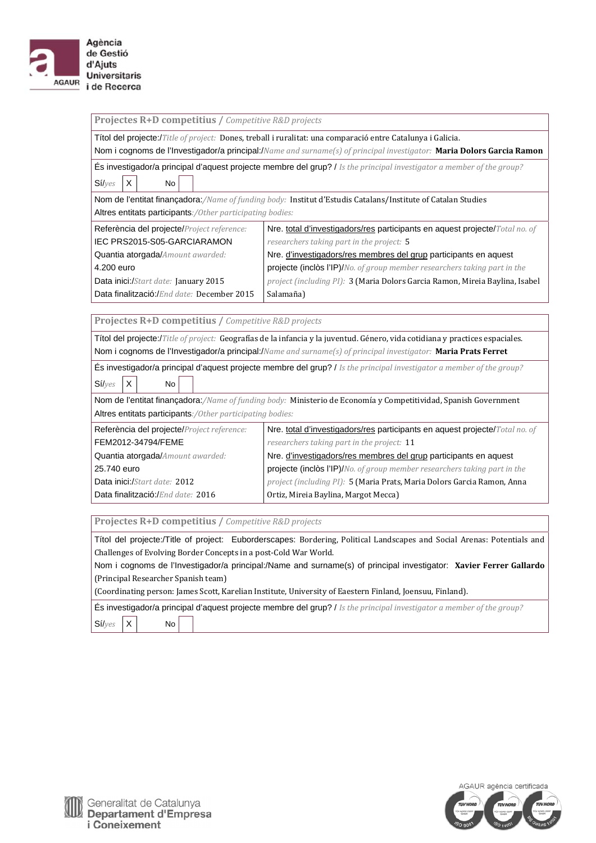

| Projectes R+D competitius / Competitive R&D projects                                                                                |                                                                                                                               |  |  |  |
|-------------------------------------------------------------------------------------------------------------------------------------|-------------------------------------------------------------------------------------------------------------------------------|--|--|--|
|                                                                                                                                     | Títol del projecte:/Title of project: Dones, treball i ruralitat: una comparació entre Catalunya i Galicia.                   |  |  |  |
|                                                                                                                                     | Nom i cognoms de l'Investigador/a principal:/Name and surname(s) of principal investigator: Maria Dolors Garcia Ramon         |  |  |  |
|                                                                                                                                     | És investigador/a principal d'aquest projecte membre del grup? / Is the principal investigator a member of the group?         |  |  |  |
| X<br>$Si/$ <sub>Ves</sub><br>No                                                                                                     |                                                                                                                               |  |  |  |
|                                                                                                                                     |                                                                                                                               |  |  |  |
|                                                                                                                                     | Nom de l'entitat finançadora:/Name of funding body: Institut d'Estudis Catalans/Institute of Catalan Studies                  |  |  |  |
| Altres entitats participants:/Other participating bodies:                                                                           |                                                                                                                               |  |  |  |
| Referència del projecte/Project reference:                                                                                          | Nre. total d'investigadors/res participants en aquest projecte/Total no. of                                                   |  |  |  |
| IEC PRS2015-S05-GARCIARAMON                                                                                                         | researchers taking part in the project: 5                                                                                     |  |  |  |
| Quantia atorgada/Amount awarded:                                                                                                    | Nre. d'investigadors/res membres del grup participants en aquest                                                              |  |  |  |
| 4.200 euro                                                                                                                          | projecte (inclòs l'IP)/No. of group member researchers taking part in the                                                     |  |  |  |
| Data inici:/Start date: January 2015                                                                                                | project (including PI): 3 (Maria Dolors Garcia Ramon, Mireia Baylina, Isabel                                                  |  |  |  |
| Data finalització:/End date: December 2015                                                                                          | Salamaña)                                                                                                                     |  |  |  |
| Projectes R+D competitius / Competitive R&D projects                                                                                |                                                                                                                               |  |  |  |
|                                                                                                                                     |                                                                                                                               |  |  |  |
|                                                                                                                                     | Títol del projecte:/Title of project: Geografías de la infancia y la juventud. Género, vida cotidiana y practices espaciales. |  |  |  |
|                                                                                                                                     | Nom i cognoms de l'Investigador/a principal:/Name and surname(s) of principal investigator: Maria Prats Ferret                |  |  |  |
| <b>Es investigador/a principal d'aquest projecte membre del grup?</b> <i>I Is the principal investigator a member of the group?</i> |                                                                                                                               |  |  |  |
| Sí/yes<br>X<br><b>No</b>                                                                                                            |                                                                                                                               |  |  |  |
| Nom de l'entitat finançadora:/Name of funding body: Ministerio de Economía y Competitividad, Spanish Government                     |                                                                                                                               |  |  |  |
| Altres entitats participants:/Other participating bodies:                                                                           |                                                                                                                               |  |  |  |
| Referència del projecte/ <i>Project reference:</i>                                                                                  | Nre. total d'investigadors/res participants en aquest projecte/Total no. of                                                   |  |  |  |
| FEM2012-34794/FEME                                                                                                                  | researchers taking part in the project: 11                                                                                    |  |  |  |
| Quantia atorgada/Amount awarded:                                                                                                    | Nre. d'investigadors/res membres del grup participants en aquest                                                              |  |  |  |
| 25.740 euro                                                                                                                         | <b>projecte (inclòs l'IP)/</b> No. of group member researchers taking part in the                                             |  |  |  |
| Data inici:/Start date: 2012                                                                                                        | project (including PI): 5 (Maria Prats, Maria Dolors Garcia Ramon, Anna                                                       |  |  |  |
| Data finalització:/End date: 2016                                                                                                   | Ortiz, Mireia Baylina, Margot Mecca)                                                                                          |  |  |  |
|                                                                                                                                     |                                                                                                                               |  |  |  |
| Projectes R+D competitius / Competitive R&D projects                                                                                |                                                                                                                               |  |  |  |
| Títol del projecte:/Title of project: Euborderscapes: Bordering, Political Landscapes and Social Arenas: Potentials and             |                                                                                                                               |  |  |  |
| Challenges of Evolving Border Concepts in a post-Cold War World.                                                                    |                                                                                                                               |  |  |  |
| Nom i cognoms de l'Investigador/a principal:/Name and surname(s) of principal investigator: Xavier Ferrer Gallardo                  |                                                                                                                               |  |  |  |
| (Principal Researcher Spanish team)                                                                                                 |                                                                                                                               |  |  |  |
| (Coordinating person: James Scott, Karelian Institute, University of Eaestern Finland, Joensuu, Finland).                           |                                                                                                                               |  |  |  |
| És investigador/a principal d'aquest projecte membre del grup? / Is the principal investigator a member of the group?               |                                                                                                                               |  |  |  |
| $Si/$ <sub>Ves</sub><br>Χ<br><b>No</b>                                                                                              |                                                                                                                               |  |  |  |

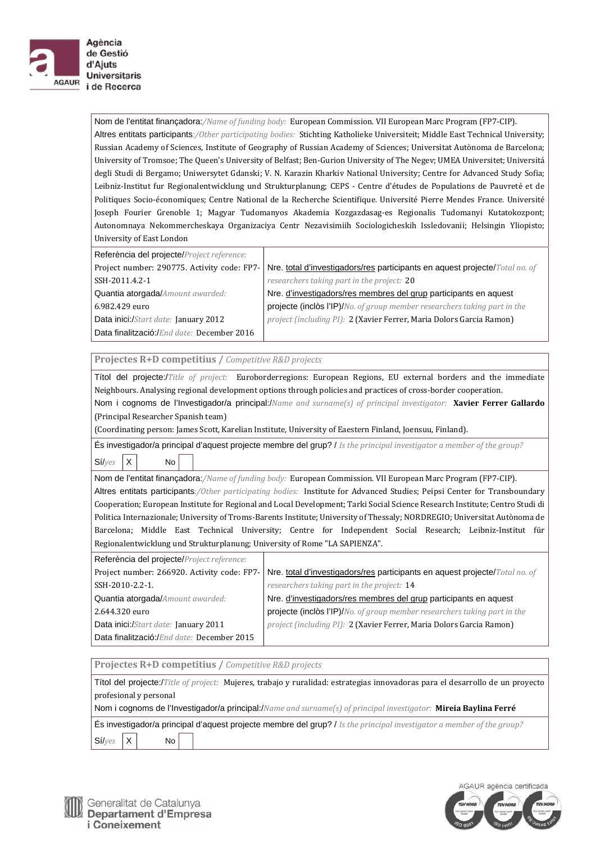

de Gestió d'Ajuts **Universitaris** i de Recerca

> Nom de l'entitat finançadora:/Name of funding body: European Commission. VII European Marc Program (FP7-CIP). Altres entitats participants:/Other participating bodies: Stichting Katholieke Universiteit; Middle East Technical University; Russian Academy of Sciences, Institute of Geography of Russian Academy of Sciences; Universitat Autònoma de Barcelona; University of Tromsoe; The Queen's University of Belfast; Ben-Gurion University of The Negev; UMEA Universitet; Universitá degli Studi di Bergamo; Uniwersytet Gdanski; V. N. Karazin Kharkiv National University; Centre for Advanced Study Sofia; Leibniz-Institut fur Regionalentwicklung und Strukturplanung; CEPS - Centre d'études de Populations de Pauvreté et de Politiques Socio-économiques; Centre National de la Recherche Scientifique. Université Pierre Mendes France. Université Joseph Fourier Grenoble 1; Magyar Tudomanyos Akademia Kozgazdasag-es Regionalis Tudomanyi Kutatokozpont; Autonomnaya Nekommercheskaya Organizaciya Centr Nezavisimiih Sociologicheskih Issledovanii; Helsingin Yliopisto; University of East London

| Referència del projecte/Project reference: |                                                                                                                           |
|--------------------------------------------|---------------------------------------------------------------------------------------------------------------------------|
|                                            | Project number: 290775. Activity code: FP7-   Nre. total d'investigadors/res participants en aquest projecte/Total no. of |
| SSH-2011.4.2-1                             | researchers taking part in the project: 20                                                                                |
| <b>Quantia atorgada/Amount awarded:</b>    | Nre. d'investigadors/res membres del grup participants en aquest                                                          |
| 6.982.429 euro                             | projecte (inclòs l'IP)/No. of group member researchers taking part in the                                                 |
| Data inici:/Start date: January 2012       | project (including PI): 2 (Xavier Ferrer, Maria Dolors Garcia Ramon)                                                      |
| Data finalització:/End date: December 2016 |                                                                                                                           |

**Projectes R+D competitius /** *Competitive R&D projects*

| Titol del projecte:/Title of project: Euroborderregions: European Regions, EU external borders and the immediate             |
|------------------------------------------------------------------------------------------------------------------------------|
| Neighbours. Analysing regional development options through policies and practices of cross-border cooperation.               |
| Nom i cognoms de l'Investigador/a principal:/Name and surname(s) of principal investigator: Xavier Ferrer Gallardo           |
| (Principal Researcher Spanish team)                                                                                          |
| (Coordinating person: James Scott, Karelian Institute, University of Eaestern Finland, Joensuu, Finland).                    |
| Es investigador/a principal d'aquest projecte membre del grup? / Is the principal investigator a member of the group?        |
| $\mathsf{I} \mathsf{X}$<br>Si/yes<br>No.                                                                                     |
| Nom de l'entitat finançadora:/Name of funding body: European Commission. VII European Marc Program (FP7-CIP).                |
| Altres entitats participants:/0ther participating bodies: Institute for Advanced Studies; Peipsi Center for Transboundary    |
| Cooperation: European Institute for Regional and Local Development: Tarki Social Science Research Institute: Centro Studi di |

and Local Development; Tarki Social Science Re Politica Internazionale; University of Troms-Barents Institute; University of Thessaly; NORDREGIO; Universitat Autònoma de Barcelona; Middle East Technical University; Centre for Independent Social Research; Leibniz-Institut für Regionalentwicklung und Strukturplanung; University of Rome "LA SAPIENZA".

| Referència del projecte/Project reference: |                                                                                                                           |
|--------------------------------------------|---------------------------------------------------------------------------------------------------------------------------|
|                                            | Project number: 266920. Activity code: FP7-   Nre. total d'investigadors/res participants en aquest projecte/Total no. of |
| SSH-2010-2.2-1.                            | researchers taking part in the project: 14                                                                                |
| Quantia atorgada/Amount awarded:           | Nre. d'investigadors/res membres del grup participants en aquest                                                          |
| 2.644.320 euro                             | projecte (inclòs l'IP)/No. of group member researchers taking part in the                                                 |
| Data inici:/Start date: January 2011       | project (including PI): 2 (Xavier Ferrer, Maria Dolors Garcia Ramon)                                                      |
| Data finalització:/End date: December 2015 |                                                                                                                           |

| Projectes R+D competitius / Competitive R&D projects                                                                          |  |  |  |  |
|-------------------------------------------------------------------------------------------------------------------------------|--|--|--|--|
| Títol del projecte:/Title of project: Mujeres, trabajo y ruralidad: estrategias innovadoras para el desarrollo de un proyecto |  |  |  |  |
| profesional y personal                                                                                                        |  |  |  |  |
| Nom i cognoms de l'Investigador/a principal:/Name and surname(s) of principal investigator: Mireia Baylina Ferré              |  |  |  |  |
| És investigador/a principal d'aquest projecte membre del grup? / Is the principal investigator a member of the group?         |  |  |  |  |
| $Si/yes$ $X$<br>No                                                                                                            |  |  |  |  |

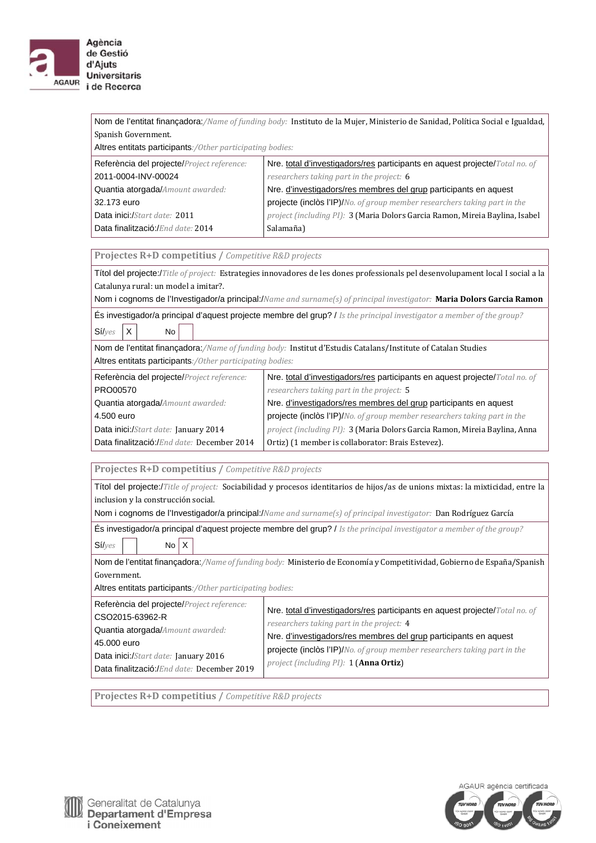

Nom de l'entitat finançadora:/Name of funding body: Instituto de la Mujer, Ministerio de Sanidad, Política Social e Igualdad, Spanish Government.

Altres entitats participants*:/Other participating bodies:* 

| Referència del projecte/Project reference: | Nre. total d'investigadors/res participants en aquest projecte/Total no. of       |
|--------------------------------------------|-----------------------------------------------------------------------------------|
| 2011-0004-INV-00024                        | researchers taking part in the project: 6                                         |
| Quantia atorgada/Amount awarded:           | Nre. d'investigadors/res membres del grup participants en aquest                  |
| 32,173 euro                                | <b>projecte (inclòs l'IP)/</b> No. of group member researchers taking part in the |
| Data inici:/Start date: 2011               | project (including PI): 3 (Maria Dolors Garcia Ramon, Mireia Baylina, Isabel      |
| Data finalització:/End date: 2014          | Salamaña)                                                                         |

**Projectes R+D competitius /** *Competitive R&D projects*

Títol del projecte:/*Title of project:* Estrategies innovadores de les dones professionals pel desenvolupament local I social a la Catalunya rural: un model a imitar?.

Nom i cognoms de l'Investigador/a principal:/*Name and surname(s) of principal investigator:* **Maria Dolors Garcia Ramon**

És investigador/a principal d'aquest projecte membre del grup? / *Is the principal investigator a member of the group?* Sí/*yes* X No

Nom de l'entitat finançadora:/Name of funding body: Institut d'Estudis Catalans/Institute of Catalan Studies Altres entitats participants*:/Other participating bodies:* 

| Referència del projecte/Project reference: | Nre. total d'investigadors/res participants en aquest projecte/Total no. of |
|--------------------------------------------|-----------------------------------------------------------------------------|
| PRO00570                                   | researchers taking part in the project: 5                                   |
| Quantia atorgada/Amount awarded:           | Nre. d'investigadors/res membres del grup participants en aquest            |
| 4.500 euro                                 | projecte (inclòs l'IP)/No. of group member researchers taking part in the   |
| Data inici:/Start date: January 2014       | project (including PI): 3 (Maria Dolors Garcia Ramon, Mireia Baylina, Anna  |
| Data finalització:/End date: December 2014 | Ortiz) (1 member is collaborator: Brais Estevez).                           |

**Projectes R+D competitius /** *Competitive R&D projects*

Títol del projecte:/*Title of project:* Sociabilidad y procesos identitarios de hijos/as de unions mixtas: la mixticidad, entre la inclusion y la construcción social.

Nom i cognoms de l'Investigador/a principal:/*Name and surname(s) of principal investigator:* Dan Rodríguez García

És investigador/a principal d'aquest projecte membre del grup? / *Is the principal investigator a member of the group?* Sí/*yes* No X

Nom de l'entitat finançadora:*/Name of funding body:* Ministerio de Economía y Competitividad, Gobierno de España/Spanish Government.

Altres entitats participants*:/Other participating bodies:* 

| Referència del projecte/Project reference: | Nre. total d'investigadors/res participants en aquest projecte/Total no. of |
|--------------------------------------------|-----------------------------------------------------------------------------|
| CSO2015-63962-R                            | researchers taking part in the project: 4                                   |
| Quantia atorgada/Amount awarded:           | Nre. d'investigadors/res membres del grup participants en aquest            |
| 45,000 euro                                | projecte (inclòs l'IP)/No. of group member researchers taking part in the   |
| Data inici:/Start date: January 2016       | project (including PI): 1 (Anna Ortiz)                                      |
| Data finalització:/End date: December 2019 |                                                                             |

**Projectes R+D competitius /** *Competitive R&D projects*

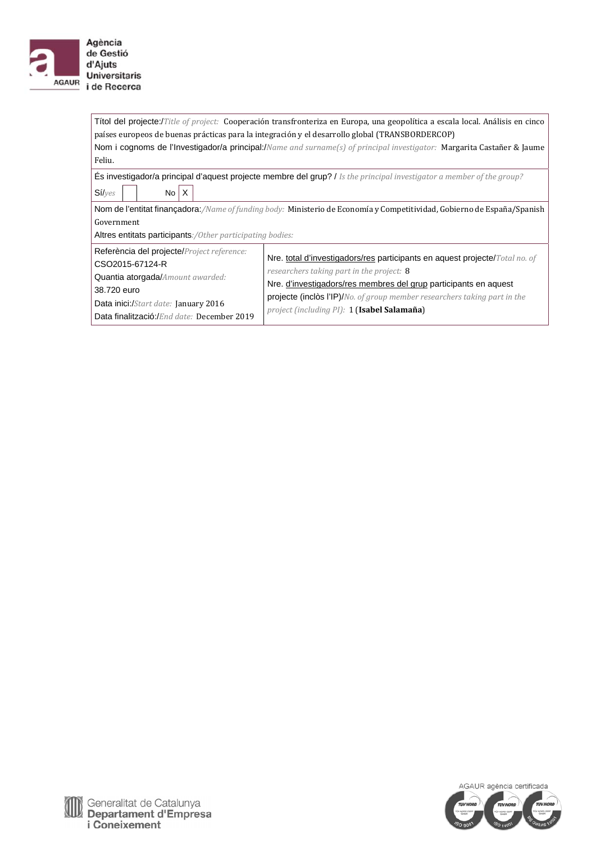

Títol del projecte:/*Title of project:* Cooperación transfronteriza en Europa, una geopolítica a escala local. Análisis en cinco países europeos de buenas prácticas para la integración y el desarrollo global (TRANSBORDERCOP) Nom i cognoms de l'Investigador/a principal:/*Name and surname(s) of principal investigator:* Margarita Castañer & Jaume Feliu.

És investigador/a principal d'aquest projecte membre del grup? / *Is the principal investigator a member of the group?*  $Si/yes$  No  $X$ 

Nom de l'entitat finançadora:/Name of funding body: Ministerio de Economía y Competitividad, Gobierno de España/Spanish Government

Altres entitats participants*:/Other participating bodies:* 

| Referència del projecte/Project reference:<br>CSO2015-67124-R                                                                         | Nre. total d'investigadors/res participants en aquest projecte/Total no. of                                                                                                                                                                       |
|---------------------------------------------------------------------------------------------------------------------------------------|---------------------------------------------------------------------------------------------------------------------------------------------------------------------------------------------------------------------------------------------------|
| Quantia atorgada/Amount awarded:<br>38.720 euro<br>Data inici:/Start date: January 2016<br>Data finalització:/End date: December 2019 | researchers taking part in the project: 8<br>Nre. d'investigadors/res membres del grup participants en aquest<br><b>projecte (inclòs l'IP)/</b> No. of group member researchers taking part in the<br>project (including PI): 1 (Isabel Salamaña) |

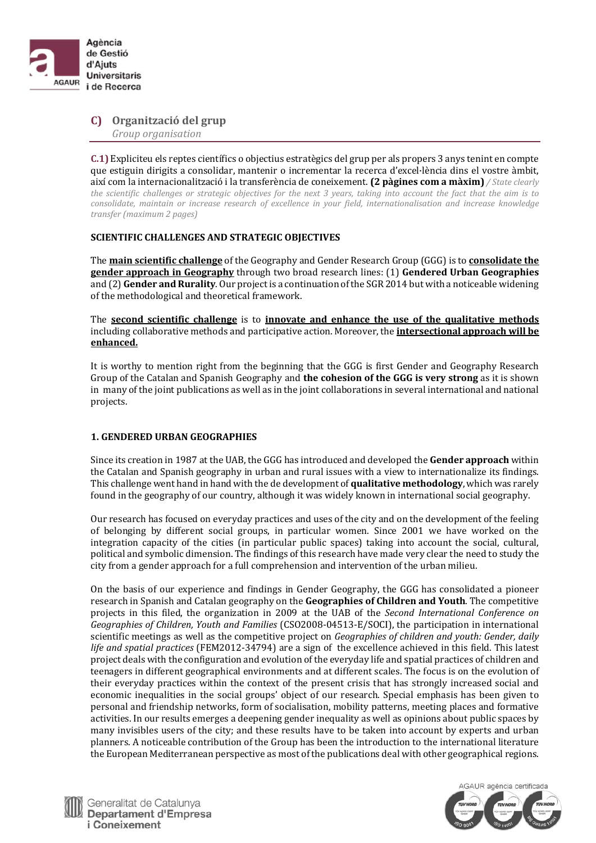

**C) Organització del grup** *Group organisation*

**C.1)** Expliciteu els reptes científics o objectius estratègics del grup per als propers 3 anys tenint en compte que estiguin dirigits a consolidar, mantenir o incrementar la recerca d'excel·lència dins el vostre àmbit, així com la internacionalització i la transferència de coneixement. **(2 pàgines com a màxim)** */ State clearly* the scientific challenges or strategic objectives for the next 3 years, taking into account the fact that the aim is to *consolidate, maintain or increase research of excellence in your field, internationalisation and increase knowledge transfer (maximum 2 pages)*

#### **SCIENTIFIC CHALLENGES AND STRATEGIC OBJECTIVES**

**The main scientific challenge** of the Geography and Gender Research Group (GGG) is to **consolidate the gender approach in Geography** through two broad research lines: (1) **Gendered Urban Geographies** and (2) **Gender and Rurality**. Our project is a continuation of the SGR 2014 but with a noticeable widening of the methodological and theoretical framework.

**The second scientific challenge** is to **innovate** and **enhance** the use of the qualitative methods including collaborative methods and participative action. Moreover, the **intersectional approach will be enhanced.** 

It is worthy to mention right from the beginning that the GGG is first Gender and Geography Research Group of the Catalan and Spanish Geography and **the cohesion of the GGG is very strong** as it is shown in many of the joint publications as well as in the joint collaborations in several international and national projects. 

## **1. GENDERED URBAN GEOGRAPHIES**

Since its creation in 1987 at the UAB, the GGG has introduced and developed the **Gender approach** within the Catalan and Spanish geography in urban and rural issues with a view to internationalize its findings. This challenge went hand in hand with the de development of **qualitative methodology**, which was rarely found in the geography of our country, although it was widely known in international social geography.

Our research has focused on everyday practices and uses of the city and on the development of the feeling of belonging by different social groups, in particular women. Since 2001 we have worked on the integration capacity of the cities (in particular public spaces) taking into account the social, cultural, political and symbolic dimension. The findings of this research have made very clear the need to study the city from a gender approach for a full comprehension and intervention of the urban milieu.

On the basis of our experience and findings in Gender Geography, the GGG has consolidated a pioneer research in Spanish and Catalan geography on the **Geographies of Children and Youth**. The competitive projects in this filed, the organization in 2009 at the UAB of the *Second International Conference on Geographies of Children, Youth and Families* (CSO2008‐04513‐E/SOCI), the participation in international scientific meetings as well as the competitive project on *Geographies of children and youth: Gender, daily life* and spatial practices (FEM2012-34794) are a sign of the excellence achieved in this field. This latest project deals with the configuration and evolution of the everyday life and spatial practices of children and teenagers in different geographical environments and at different scales. The focus is on the evolution of their everyday practices within the context of the present crisis that has strongly increased social and economic inequalities in the social groups' object of our research. Special emphasis has been given to personal and friendship networks, form of socialisation, mobility patterns, meeting places and formative activities. In our results emerges a deepening gender inequality as well as opinions about public spaces by many invisibles users of the city; and these results have to be taken into account by experts and urban planners. A noticeable contribution of the Group has been the introduction to the international literature the European Mediterranean perspective as most of the publications deal with other geographical regions.

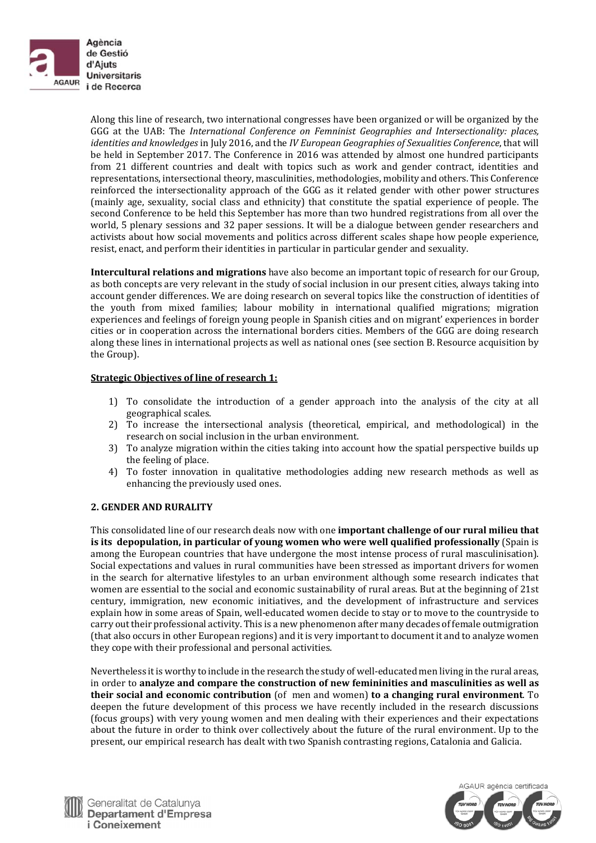

Along this line of research, two international congresses have been organized or will be organized by the GGG at the UAB: The *International Conference on Femninist Geographies and Intersectionality: places, identities and knowledges* in July 2016, and the *IV European Geographies of Sexualities Conference*, that will be held in September 2017. The Conference in 2016 was attended by almost one hundred participants from 21 different countries and dealt with topics such as work and gender contract, identities and representations, intersectional theory, masculinities, methodologies, mobility and others. This Conference reinforced the intersectionality approach of the GGG as it related gender with other power structures (mainly age, sexuality, social class and ethnicity) that constitute the spatial experience of people. The second Conference to be held this September has more than two hundred registrations from all over the world, 5 plenary sessions and 32 paper sessions. It will be a dialogue between gender researchers and activists about how social movements and politics across different scales shape how people experience, resist, enact, and perform their identities in particular in particular gender and sexuality.

**Intercultural <b>relations** and migrations have also become an important topic of research for our Group, as both concepts are very relevant in the study of social inclusion in our present cities, always taking into account gender differences. We are doing research on several topics like the construction of identities of the youth from mixed families; labour mobility in international qualified migrations; migration experiences and feelings of foreign young people in Spanish cities and on migrant' experiences in border cities or in cooperation across the international borders cities. Members of the GGG are doing research along these lines in international projects as well as national ones (see section B. Resource acquisition by the Group).

## **Strategic Objectives of line of research 1:**

- 1) To consolidate the introduction of a gender approach into the analysis of the city at all geographical scales.
- 2) To increase the intersectional analysis (theoretical, empirical, and methodological) in the research on social inclusion in the urban environment.
- 3) To analyze migration within the cities taking into account how the spatial perspective builds up the feeling of place.
- 4) To foster innovation in qualitative methodologies adding new research methods as well as enhancing the previously used ones.

#### **2. GENDER AND RURALITY**

This consolidated line of our research deals now with one **important challenge of our rural milieu that is its depopulation, in particular of young women who were well qualified professionally** (Spain is among the European countries that have undergone the most intense process of rural masculinisation). Social expectations and values in rural communities have been stressed as important drivers for women in the search for alternative lifestyles to an urban environment although some research indicates that women are essential to the social and economic sustainability of rural areas. But at the beginning of 21st century, immigration, new economic initiatives, and the development of infrastructure and services explain how in some areas of Spain, well-educated women decide to stay or to move to the countryside to carry out their professional activity. This is a new phenomenon after many decades of female outmigration (that also occurs in other European regions) and it is very important to document it and to analyze women they cope with their professional and personal activities.

Nevertheless it is worthy to include in the research the study of well-educated men living in the rural areas, in order to **analyze and compare the construction of new femininities and masculinities as well as their social and economic contribution** (of men and women) **to a changing rural environment**. To deepen the future development of this process we have recently included in the research discussions (focus groups) with very young women and men dealing with their experiences and their expectations about the future in order to think over collectively about the future of the rural environment. Up to the present, our empirical research has dealt with two Spanish contrasting regions, Catalonia and Galicia.



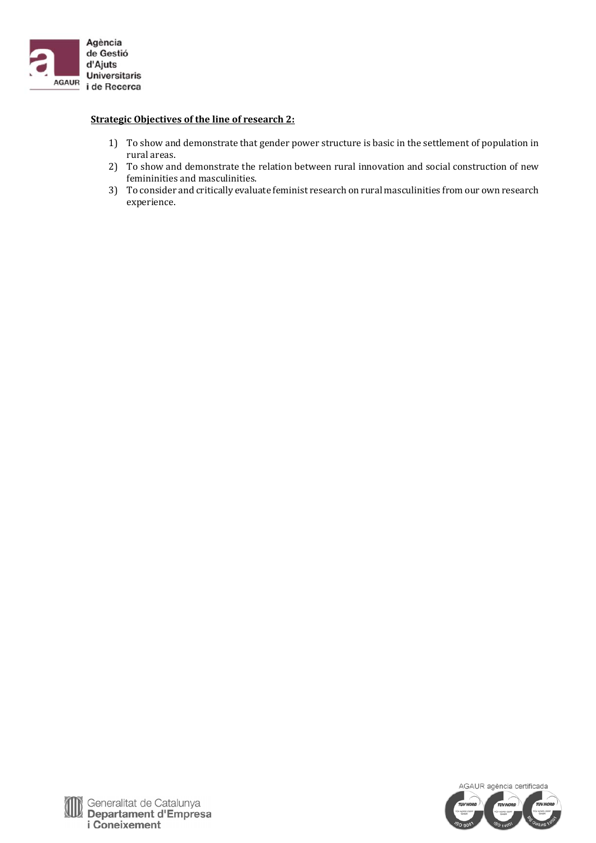

## **Strategic Objectives of the line of research 2:**

- 1) To show and demonstrate that gender power structure is basic in the settlement of population in rural areas.
- 2) To show and demonstrate the relation between rural innovation and social construction of new femininities and masculinities.
- 3) To consider and critically evaluate feminist research on rural masculinities from our own research experience.

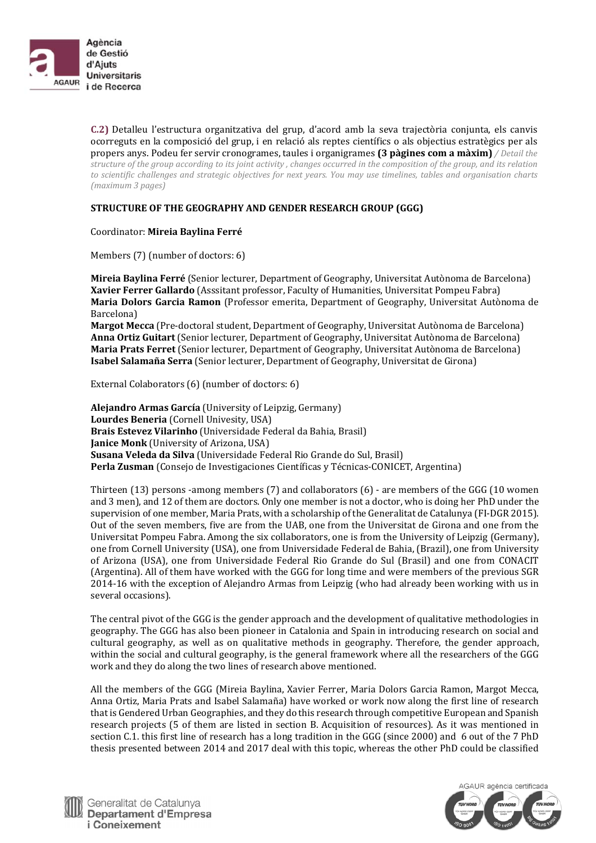

**C.2)** Detalleu l'estructura organitzativa del grup, d'acord amb la seva trajectòria conjunta, els canvis ocorreguts en la composició del grup, i en relació als reptes científics o als objectius estratègics per als propers anys. Podeu fer servir cronogrames, taules i organigrames **(3 pàgines com a màxim)** */ Detail the* structure of the group according to its joint activity, changes occurred in the composition of the group, and its relation to scientific challenges and strategic objectives for next years. You may use timelines, tables and organisation charts *(maximum 3 pages)*

## **STRUCTURE OF THE GEOGRAPHY AND GENDER RESEARCH GROUP (GGG)**

#### Coordinator: **Mireia Baylina Ferré**

Members (7) (number of doctors: 6)

**Mireia Baylina Ferré** (Senior lecturer, Department of Geography, Universitat Autònoma de Barcelona) **Xavier Ferrer Gallardo** (Asssitant professor, Faculty of Humanities, Universitat Pompeu Fabra) **Maria Dolors Garcia Ramon** (Professor emerita, Department of Geography, Universitat Autònoma de Barcelona) 

**Margot Mecca** (Pre-doctoral student, Department of Geography, Universitat Autònoma de Barcelona) **Anna Ortiz Guitart** (Senior lecturer, Department of Geography, Universitat Autònoma de Barcelona) **Maria Prats Ferret** (Senior lecturer, Department of Geography, Universitat Autònoma de Barcelona) **Isabel Salamaña Serra** (Senior lecturer, Department of Geography, Universitat de Girona)

External Colaborators $(6)$  (number of doctors:  $6)$ )

**Alejandro Armas García** (University of Leipzig, Germany) **Lourdes Beneria** (Cornell Univesity, USA) **Brais Estevez Vilarinho** (Universidade Federal da Bahia, Brasil) **Janice Monk** (University of Arizona, USA) **Susana Veleda da Silva** (Universidade Federal Rio Grande do Sul, Brasil) **Perla Zusman** (Consejo de Investigaciones Científicas y Técnicas-CONICET, Argentina)

Thirteen  $(13)$  persons -among members  $(7)$  and collaborators  $(6)$  - are members of the GGG  $(10 \text{ women})$ and 3 men), and 12 of them are doctors. Only one member is not a doctor, who is doing her PhD under the supervision of one member, Maria Prats, with a scholarship of the Generalitat de Catalunya (FI-DGR 2015). Out of the seven members, five are from the UAB, one from the Universitat de Girona and one from the Universitat Pompeu Fabra. Among the six collaborators, one is from the University of Leipzig (Germany), one from Cornell University (USA), one from Universidade Federal de Bahia, (Brazil), one from University of Arizona (USA), one from Universidade Federal Rio Grande do Sul (Brasil) and one from CONACIT (Argentina). All of them have worked with the GGG for long time and were members of the previous SGR 2014-16 with the exception of Alejandro Armas from Leipzig (who had already been working with us in several occasions).

The central pivot of the GGG is the gender approach and the development of qualitative methodologies in geography. The GGG has also been pioneer in Catalonia and Spain in introducing research on social and cultural geography, as well as on qualitative methods in geography. Therefore, the gender approach, within the social and cultural geography, is the general framework where all the researchers of the GGG work and they do along the two lines of research above mentioned.

All the members of the GGG (Mireia Baylina, Xavier Ferrer, Maria Dolors Garcia Ramon, Margot Mecca, Anna Ortiz, Maria Prats and Isabel Salamaña) have worked or work now along the first line of research that is Gendered Urban Geographies, and they do this research through competitive European and Spanish research projects (5 of them are listed in section B. Acquisition of resources). As it was mentioned in section C.1. this first line of research has a long tradition in the GGG (since 2000) and 6 out of the 7 PhD thesis presented between 2014 and 2017 deal with this topic, whereas the other PhD could be classified



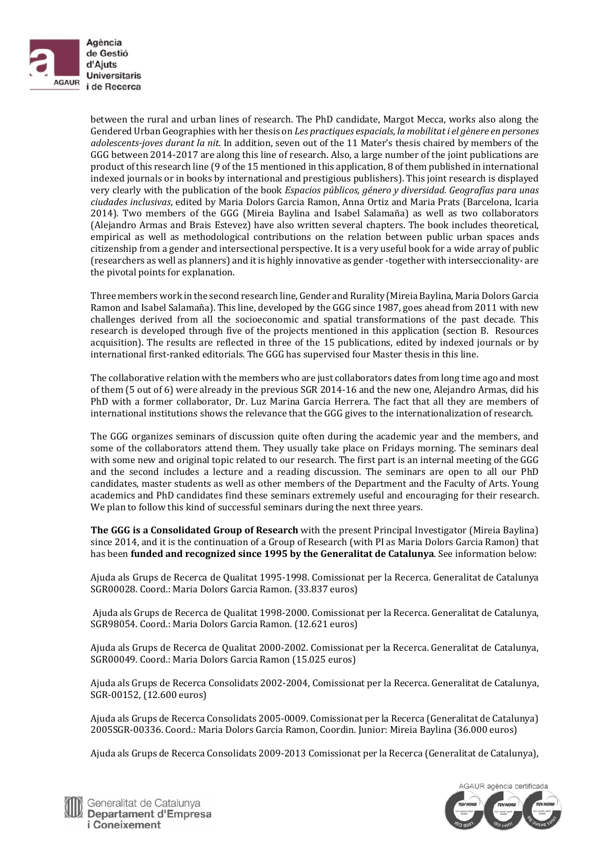

between the rural and urban lines of research. The PhD candidate, Margot Mecca, works also along the Gendered Urban Geographies with her thesis on *Les practiques espacials, la mobilitat i el gènere en persones adolescents-joves durant la nit*. In addition, seven out of the 11 Mater's thesis chaired by members of the GGG between 2014-2017 are along this line of research. Also, a large number of the joint publications are product of this research line (9 of the 15 mentioned in this application, 8 of them published in international indexed journals or in books by international and prestigious publishers). This joint research is displayed very clearly with the publication of the book *Espacios públicos, género y diversidad. Geografías para unas ciudades inclusivas*, edited by Maria Dolors Garcia Ramon, Anna Ortiz and Maria Prats (Barcelona, Icaria 2014). Two members of the GGG (Mireia Baylina and Isabel Salamaña) as well as two collaborators (Alejandro Armas and Brais Estevez) have also written several chapters. The book includes theoretical, empirical as well as methodological contributions on the relation between public urban spaces ands citizenship from a gender and intersectional perspective. It is a very useful book for a wide array of public (researchers as well as planners) and it is highly innovative as gender -together with interseccionality- are the pivotal points for explanation.

Three members work in the second research line, Gender and Rurality (Mireia Baylina, Maria Dolors Garcia Ramon and Isabel Salamaña). This line, developed by the GGG since 1987, goes ahead from 2011 with new challenges derived from all the socioeconomic and spatial transformations of the past decade. This research is developed through five of the projects mentioned in this application (section B. Resources acquisition). The results are reflected in three of the 15 publications, edited by indexed journals or by international first-ranked editorials. The GGG has supervised four Master thesis in this line.

The collaborative relation with the members who are just collaborators dates from long time ago and most of them (5 out of 6) were already in the previous SGR 2014-16 and the new one, Alejandro Armas, did his PhD with a former collaborator, Dr. Luz Marina Garcia Herrera. The fact that all they are members of international institutions shows the relevance that the GGG gives to the internationalization of research.

The GGG organizes seminars of discussion quite often during the academic year and the members, and some of the collaborators attend them. They usually take place on Fridays morning. The seminars deal with some new and original topic related to our research. The first part is an internal meeting of the GGG and the second includes a lecture and a reading discussion. The seminars are open to all our PhD candidates, master students as well as other members of the Department and the Faculty of Arts. Young academics and PhD candidates find these seminars extremely useful and encouraging for their research. We plan to follow this kind of successful seminars during the next three years.

**The** GGG is a Consolidated Group of Research with the present Principal Investigator (Mireia Baylina) since 2014, and it is the continuation of a Group of Research (with PI as Maria Dolors Garcia Ramon) that has been **funded and recognized since 1995 by the Generalitat de Catalunya**. See information below: 

Ajuda als Grups de Recerca de Qualitat 1995-1998. Comissionat per la Recerca. Generalitat de Catalunya SGR00028. Coord.: Maria Dolors Garcia Ramon. (33.837 euros)

Ajuda als Grups de Recerca de Qualitat 1998-2000. Comissionat per la Recerca. Generalitat de Catalunya, SGR98054. Coord.: Maria Dolors Garcia Ramon. (12.621 euros)

Ajuda als Grups de Recerca de Qualitat 2000-2002. Comissionat per la Recerca. Generalitat de Catalunya, SGR00049. Coord.: Maria Dolors Garcia Ramon (15.025 euros)

Ajuda als Grups de Recerca Consolidats 2002-2004, Comissionat per la Recerca. Generalitat de Catalunya, SGR-00152, (12.600 euros)

Ajuda als Grups de Recerca Consolidats 2005-0009. Comissionat per la Recerca (Generalitat de Catalunya) 2005SGR-00336. Coord.: Maria Dolors Garcia Ramon, Coordin. Junior: Mireia Baylina (36.000 euros)

Ajuda als Grups de Recerca Consolidats 2009-2013 Comissionat per la Recerca (Generalitat de Catalunya),



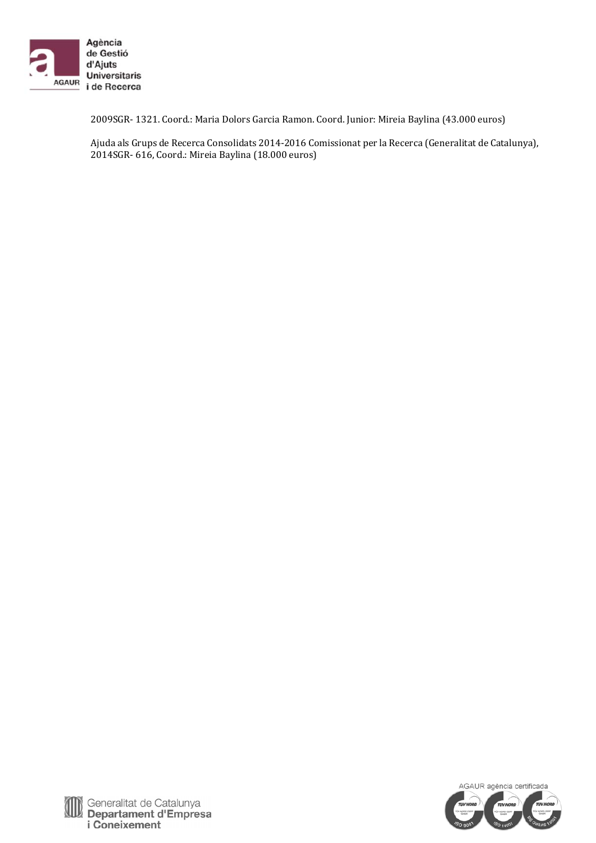

2009SGR- 1321. Coord.: Maria Dolors Garcia Ramon. Coord. Junior: Mireia Baylina (43.000 euros)

Ajuda als Grups de Recerca Consolidats 2014-2016 Comissionat per la Recerca (Generalitat de Catalunya), 2014SGR- 616, Coord.: Mireia Baylina (18.000 euros)



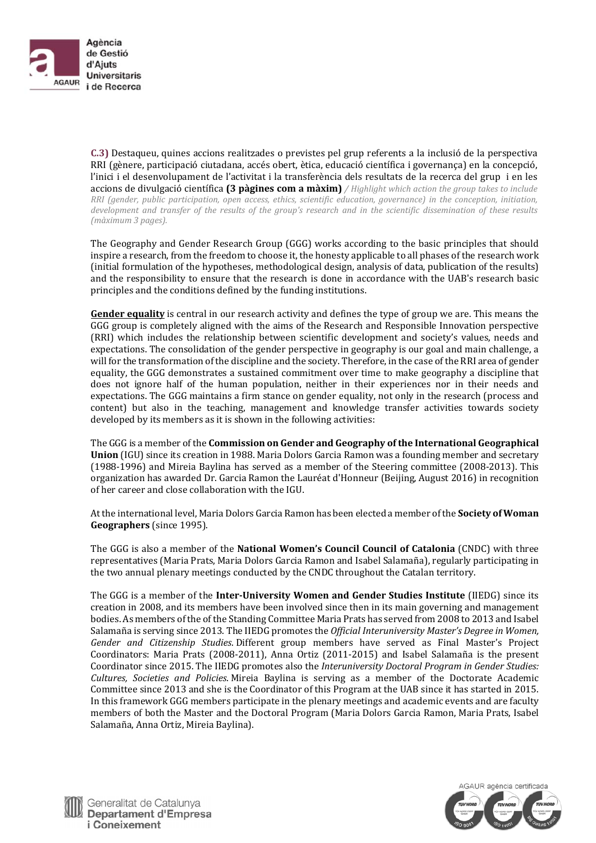

**C.3)** Destaqueu, quines accions realitzades o previstes pel grup referents a la inclusió de la perspectiva RRI (gènere, participació ciutadana, accés obert, ètica, educació científica i governança) en la concepció, l'inici i el desenvolupament de l'activitat i la transferència dels resultats de la recerca del grup i en les accions de divulgació científica **(3 pàgines com a màxim)** */ Highlight which action the group takes to include RRI (gender, public participation, open access, ethics, scientific education, governance) in the conception, initiation,* development and transfer of the results of the group's research and in the scientific dissemination of these results *(màximum 3 pages).*

The Geography and Gender Research Group (GGG) works according to the basic principles that should inspire a research, from the freedom to choose it, the honesty applicable to all phases of the research work (initial formulation of the hypotheses, methodological design, analysis of data, publication of the results) and the responsibility to ensure that the research is done in accordance with the UAB's research basic principles and the conditions defined by the funding institutions.

**Gender equality** is central in our research activity and defines the type of group we are. This means the GGG group is completely aligned with the aims of the Research and Responsible Innovation perspective (RRI) which includes the relationship between scientific development and society's values, needs and expectations. The consolidation of the gender perspective in geography is our goal and main challenge, a will for the transformation of the discipline and the society. Therefore, in the case of the RRI area of gender equality, the GGG demonstrates a sustained commitment over time to make geography a discipline that does not ignore half of the human population, neither in their experiences nor in their needs and expectations. The GGG maintains a firm stance on gender equality, not only in the research (process and content) but also in the teaching, management and knowledge transfer activities towards society developed by its members as it is shown in the following activities:

The GGG is a member of the **Commission on Gender and Geography of the International Geographical Union** (IGU) since its creation in 1988. Maria Dolors Garcia Ramon was a founding member and secretary  $(1988-1996)$  and Mireia Baylina has served as a member of the Steering committee  $(2008-2013)$ . This organization has awarded Dr. Garcia Ramon the Lauréat d'Honneur (Beijing, August 2016) in recognition of her career and close collaboration with the IGU.

At the international level, Maria Dolors Garcia Ramon has been elected a member of the **Society of Woman** Geographers (since 1995).

The GGG is also a member of the **National Women's Council Council of Catalonia** (CNDC) with three representatives (Maria Prats, Maria Dolors Garcia Ramon and Isabel Salamaña), regularly participating in the two annual plenary meetings conducted by the CNDC throughout the Catalan territory.

The GGG is a member of the **Inter‐University Women and Gender Studies Institute** (IIEDG) since its creation in 2008, and its members have been involved since then in its main governing and management bodies. As members of the of the Standing Committee Maria Prats has served from 2008 to 2013 and Isabel Salamaña is serving since 2013. The IIEDG promotes the *Official Interuniversity Master's Degree in Women, Gender and Citizenship Studies*. Different group members have served as Final Master's Project Coordinators: Maria Prats (2008-2011), Anna Ortiz (2011-2015) and Isabel Salamaña is the present Coordinator since 2015. The IIEDG promotes also the *Interuniversity Doctoral Program in Gender Studies: Cultures, Societies and Policies*. Mireia Baylina is serving as a member of the Doctorate Academic Committee since 2013 and she is the Coordinator of this Program at the UAB since it has started in 2015. In this framework GGG members participate in the plenary meetings and academic events and are faculty members of both the Master and the Doctoral Program (Maria Dolors Garcia Ramon, Maria Prats, Isabel Salamaña, Anna Ortiz, Mireia Baylina).



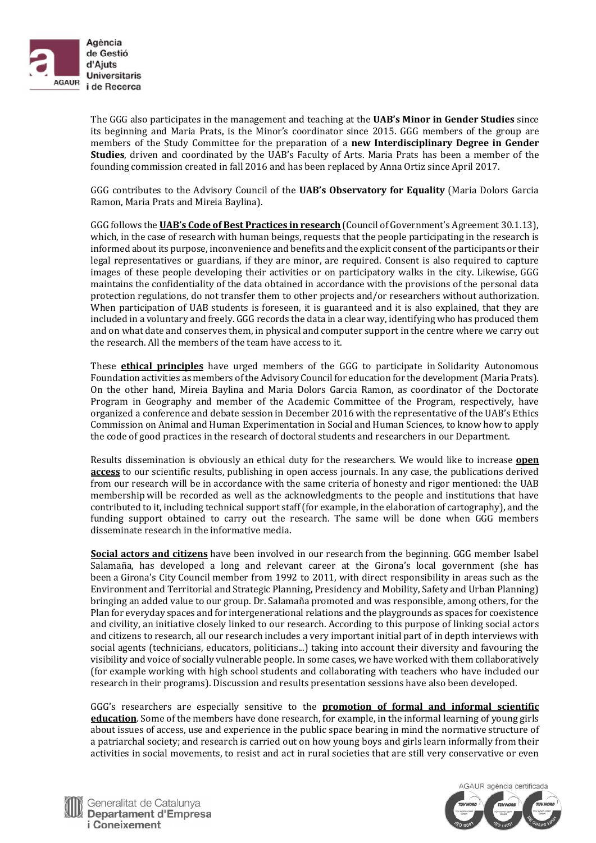

The GGG also participates in the management and teaching at the **UAB's Minor in Gender Studies** since its beginning and Maria Prats, is the Minor's coordinator since 2015. GGG members of the group are members of the Study Committee for the preparation of a **new Interdisciplinary Degree in Gender Studies**, driven and coordinated by the UAB's Faculty of Arts. Maria Prats has been a member of the founding commission created in fall 2016 and has been replaced by Anna Ortiz since April 2017.

GGG contributes to the Advisory Council of the UAB's Observatory for Equality (Maria Dolors Garcia Ramon, Maria Prats and Mireia Baylina).

GGG follows the **UAB's Code of Best Practices in research** (Council of Government's Agreement 30.1.13), which, in the case of research with human beings, requests that the people participating in the research is informed about its purpose, inconvenience and benefits and the explicit consent of the participants or their legal representatives or guardians, if they are minor, are required. Consent is also required to capture images of these people developing their activities or on participatory walks in the city. Likewise, GGG maintains the confidentiality of the data obtained in accordance with the provisions of the personal data protection regulations, do not transfer them to other projects and/or researchers without authorization. When participation of UAB students is foreseen, it is guaranteed and it is also explained, that they are included in a voluntary and freely. GGG records the data in a clear way, identifying who has produced them and on what date and conserves them, in physical and computer support in the centre where we carry out the research. All the members of the team have access to it.

These **ethical principles** have urged members of the GGG to participate in Solidarity Autonomous Foundation activities as members of the Advisory Council for education for the development (Maria Prats). On the other hand, Mireia Baylina and Maria Dolors Garcia Ramon, as coordinator of the Doctorate Program in Geography and member of the Academic Committee of the Program, respectively, have organized a conference and debate session in December 2016 with the representative of the UAB's Ethics Commission on Animal and Human Experimentation in Social and Human Sciences, to know how to apply the code of good practices in the research of doctoral students and researchers in our Department.

Results dissemination is obviously an ethical duty for the researchers. We would like to increase **open access** to our scientific results, publishing in open access journals. In any case, the publications derived from our research will be in accordance with the same criteria of honesty and rigor mentioned: the UAB membership will be recorded as well as the acknowledgments to the people and institutions that have contributed to it, including technical support staff (for example, in the elaboration of cartography), and the funding support obtained to carry out the research. The same will be done when GGG members disseminate research in the informative media.

**Social actors and citizens** have been involved in our research from the beginning. GGG member Isabel Salamaña, has developed a long and relevant career at the Girona's local government (she has been a Girona's City Council member from 1992 to 2011, with direct responsibility in areas such as the Environment and Territorial and Strategic Planning, Presidency and Mobility, Safety and Urban Planning) bringing an added value to our group. Dr. Salamaña promoted and was responsible, among others, for the Plan for everyday spaces and for intergenerational relations and the playgrounds as spaces for coexistence and civility, an initiative closely linked to our research. According to this purpose of linking social actors and citizens to research, all our research includes a very important initial part of in depth interviews with social agents (technicians, educators, politicians...) taking into account their diversity and favouring the visibility and voice of socially vulnerable people. In some cases, we have worked with them collaboratively (for example working with high school students and collaborating with teachers who have included our research in their programs). Discussion and results presentation sessions have also been developed.

GGG's researchers are especially sensitive to the **promotion of formal and informal scientific education**. Some of the members have done research, for example, in the informal learning of young girls about issues of access, use and experience in the public space bearing in mind the normative structure of a patriarchal society; and research is carried out on how young boys and girls learn informally from their activities in social movements, to resist and act in rural societies that are still very conservative or even



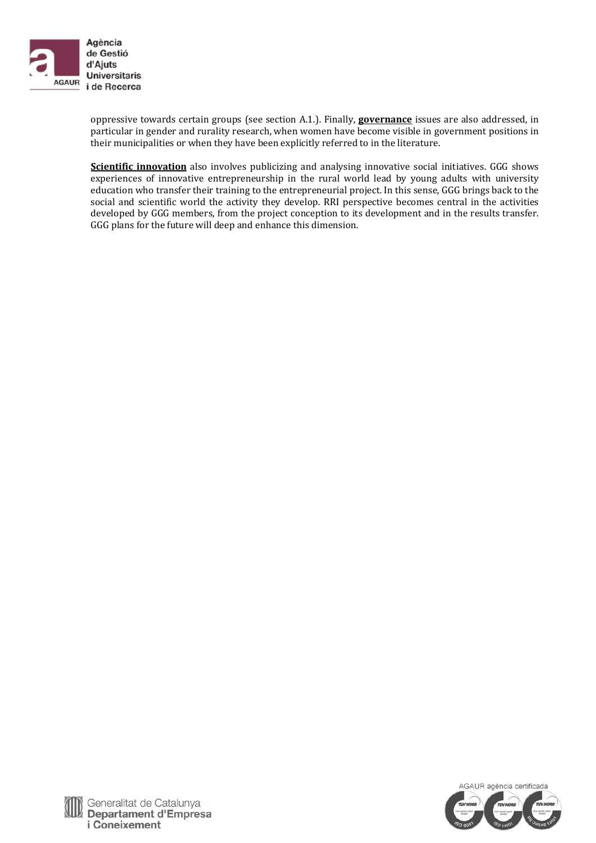

oppressive towards certain groups (see section A.1.). Finally, **governance** issues are also addressed, in particular in gender and rurality research, when women have become visible in government positions in their municipalities or when they have been explicitly referred to in the literature.

**Scientific innovation** also involves publicizing and analysing innovative social initiatives. GGG shows experiences of innovative entrepreneurship in the rural world lead by young adults with university education who transfer their training to the entrepreneurial project. In this sense, GGG brings back to the social and scientific world the activity they develop. RRI perspective becomes central in the activities developed by GGG members, from the project conception to its development and in the results transfer. GGG plans for the future will deep and enhance this dimension.



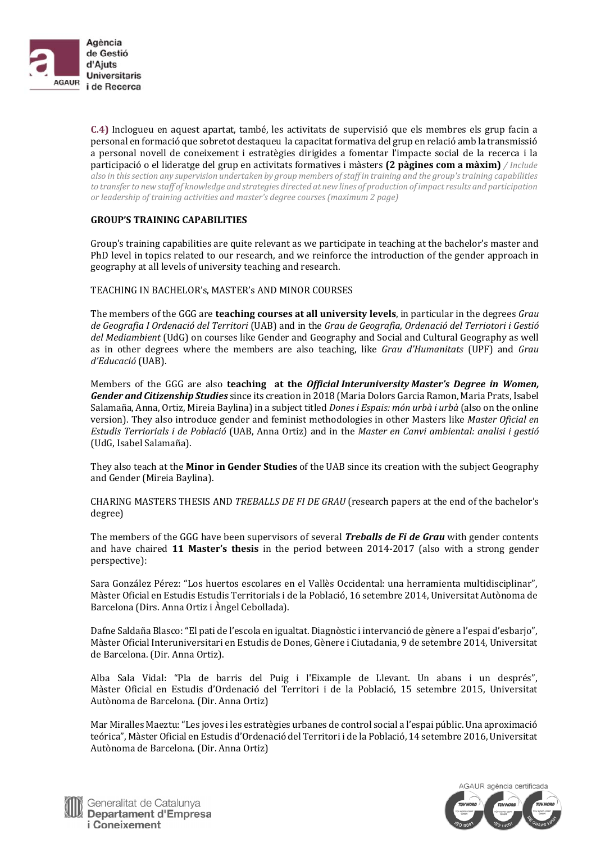

**C.4)** Inclogueu en aquest apartat, també, les activitats de supervisió que els membres els grup facin a personal en formació que sobretot destaqueu la capacitat formativa del grup en relació amb la transmissió a personal novell de coneixement i estratègies dirigides a fomentar l'impacte social de la recerca i la participació o el lideratge del grup en activitats formatives i màsters **(2 pàgines com a màxim)** */ Include* also in this section any supervision undertaken by group members of staff in training and the group's training capabilities to transfer to new staff of knowledge and strategies directed at new lines of production of impact results and participation *or leadership of training activities and master's degree courses (maximum 2 page)*

## **GROUP'S TRAINING CAPABILITIES**

Group's training capabilities are quite relevant as we participate in teaching at the bachelor's master and PhD level in topics related to our research, and we reinforce the introduction of the gender approach in geography at all levels of university teaching and research.

TEACHING IN BACHELOR'S, MASTER'S AND MINOR COURSES

The members of the GGG are **teaching courses at all university levels**, in particular in the degrees *Grau de Geografia I Ordenació del Territori* (UAB) and in the *Grau de Geografia, Ordenació del Terriotori i Gestió del Mediambient* (UdG) on courses like Gender and Geography and Social and Cultural Geography as well as in other degrees where the members are also teaching, like *Grau d'Humanitats* (UPF) and *Grau d'Educació* (UAB). 

Members of the GGG are also **teaching at the** *Official Interuniversity Master's Degree in Women, Gender and Citizenship Studies* since its creation in 2018 (Maria Dolors Garcia Ramon, Maria Prats, Isabel Salamaña, Anna, Ortiz, Mireia Baylina) in a subject titled *Dones i Espais: món urbà i urbà* (also on the online version). They also introduce gender and feminist methodologies in other Masters like *Master Oficial en Estudis Terriorials i de Població* (UAB, Anna Ortiz) and in the *Master en Canvi ambiental: analisi i gestió* (UdG, Isabel Salamaña). 

They also teach at the **Minor in Gender Studies** of the UAB since its creation with the subject Geography and Gender (Mireia Baylina).

CHARING MASTERS THESIS AND *TREBALLS DE FI DE GRAU* (research papers at the end of the bachelor's degree) 

The members of the GGG have been supervisors of several *Treballs de Fi de Grau* with gender contents and have chaired **11 Master's thesis** in the period between 2014–2017 (also with a strong gender perspective): 

Sara González Pérez: "Los huertos escolares en el Vallès Occidental: una herramienta multidisciplinar", Màster Oficial en Estudis Estudis Territorials i de la Població, 16 setembre 2014, Universitat Autònoma de Barcelona (Dirs. Anna Ortiz i Àngel Cebollada).

Dafne Saldaña Blasco: "El pati de l'escola en igualtat. Diagnòstic i intervanció de gènere a l'espai d'esbarjo", Màster Oficial Interuniversitari en Estudis de Dones, Gènere i Ciutadania, 9 de setembre 2014, Universitat de Barcelona. (Dir. Anna Ortiz).

Alba Sala Vidal: "Pla de barris del Puig i l'Eixample de Llevant. Un abans i un després", Màster Oficial en Estudis d'Ordenació del Territori i de la Població, 15 setembre 2015, Universitat Autònoma de Barcelona. (Dir. Anna Ortiz)

Mar Miralles Maeztu: "Les joves i les estratègies urbanes de control social a l'espai públic. Una aproximació teórica", Màster Oficial en Estudis d'Ordenació del Territori i de la Població, 14 setembre 2016, Universitat Autònoma de Barcelona. (Dir. Anna Ortiz)



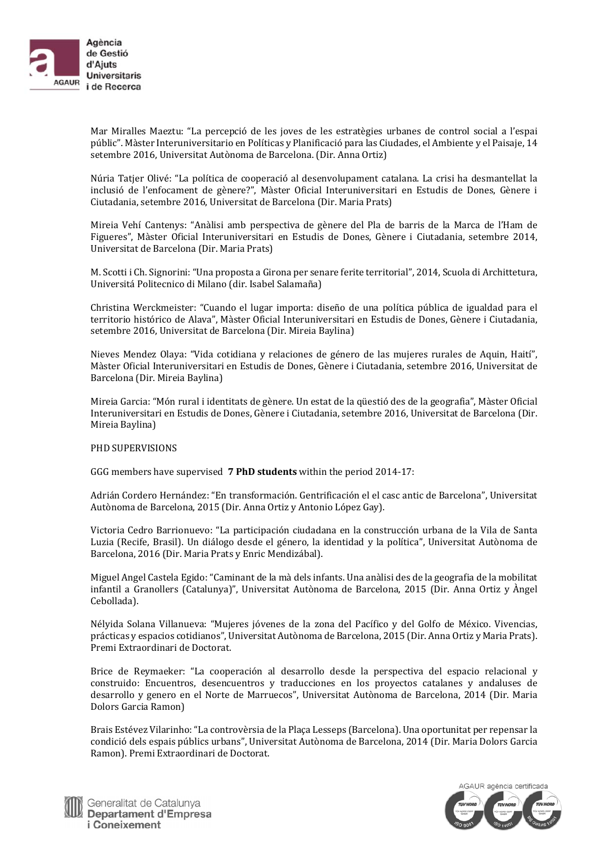

Mar Miralles Maeztu: "La percepció de les joves de les estratègies urbanes de control social a l'espai públic". Màster Interuniversitario en Políticas y Planificació para las Ciudades, el Ambiente y el Paisaje, 14 setembre 2016, Universitat Autònoma de Barcelona. (Dir. Anna Ortiz)

Núria Tatjer Olivé: "La política de cooperació al desenvolupament catalana. La crisi ha desmantellat la inclusió de l'enfocament de gènere?", Màster Oficial Interuniversitari en Estudis de Dones, Gènere i Ciutadania, setembre 2016, Universitat de Barcelona (Dir. Maria Prats)

Mireia Vehí Cantenys: "Anàlisi amb perspectiva de gènere del Pla de barris de la Marca de l'Ham de Figueres", Màster Oficial Interuniversitari en Estudis de Dones, Gènere i Ciutadania, setembre 2014, Universitat de Barcelona (Dir. Maria Prats)

M. Scotti i Ch. Signorini: "Una proposta a Girona per senare ferite territorial", 2014, Scuola di Archittetura, Universitá Politecnico di Milano (dir. Isabel Salamaña)

Christina Werckmeister: "Cuando el lugar importa: diseño de una política pública de igualdad para el territorio histórico de Alava", Màster Oficial Interuniversitari en Estudis de Dones, Gènere i Ciutadania, setembre 2016, Universitat de Barcelona (Dir. Mireia Baylina)

Nieves Mendez Olaya: "Vida cotidiana y relaciones de género de las mujeres rurales de Aquin, Haití", Màster Oficial Interuniversitari en Estudis de Dones, Gènere i Ciutadania, setembre 2016, Universitat de Barcelona (Dir. Mireia Baylina)

Mireia Garcia: "Món rural i identitats de gènere. Un estat de la qüestió des de la geografia", Màster Oficial Interuniversitari en Estudis de Dones, Gènere i Ciutadania, setembre 2016, Universitat de Barcelona (Dir. Mireia Baylina)

#### PHD SUPERVISIONS

GGG members have supervised **7 PhD students** within the period 2014-17:

Adrián Cordero Hernández: "En transformación. Gentrificación el el casc antic de Barcelona", Universitat Autònoma de Barcelona, 2015 (Dir. Anna Ortiz y Antonio López Gay).

Victoria Cedro Barrionuevo: "La participación ciudadana en la construcción urbana de la Vila de Santa Luzia (Recife, Brasil). Un diálogo desde el género, la identidad y la política", Universitat Autònoma de Barcelona, 2016 (Dir. Maria Prats y Enric Mendizábal).

Miguel Angel Castela Egido: "Caminant de la mà dels infants. Una anàlisi des de la geografia de la mobilitat infantil a Granollers (Catalunya)", Universitat Autònoma de Barcelona, 2015 (Dir. Anna Ortiz y Àngel Cebollada). 

Nélyida Solana Villanueva: "Mujeres jóvenes de la zona del Pacífico y del Golfo de México. Vivencias, prácticas y espacios cotidianos", Universitat Autònoma de Barcelona, 2015 (Dir. Anna Ortiz y Maria Prats). Premi Extraordinari de Doctorat.

Brice de Reymaeker: "La cooperación al desarrollo desde la perspectiva del espacio relacional y construido: Encuentros, desencuentros y traducciones en los proyectos catalanes y andaluses de desarrollo y genero en el Norte de Marruecos", Universitat Autònoma de Barcelona, 2014 (Dir. Maria Dolors Garcia Ramon)

Brais Estévez Vilarinho: "La controvèrsia de la Placa Lesseps (Barcelona). Una oportunitat per repensar la condició dels espais públics urbans", Universitat Autònoma de Barcelona, 2014 (Dir. Maria Dolors Garcia Ramon). Premi Extraordinari de Doctorat.



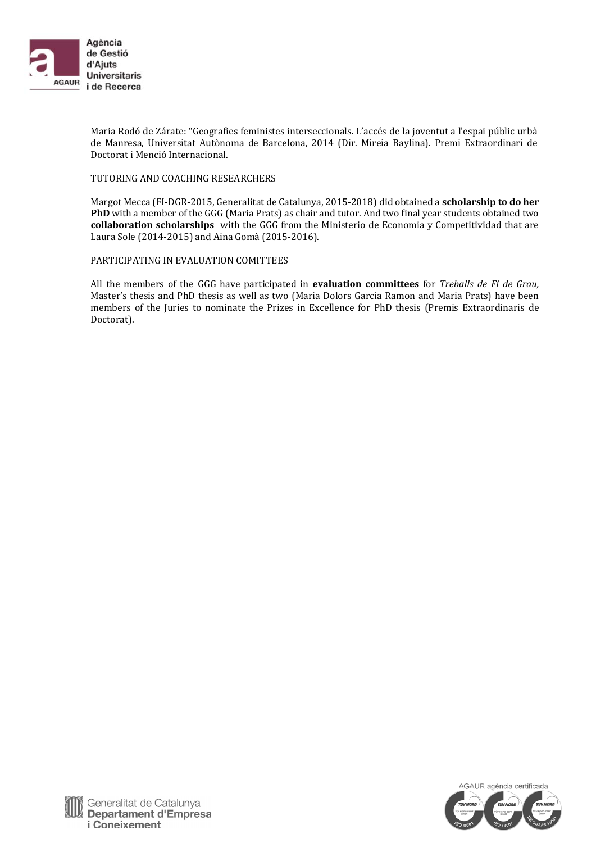

Maria Rodó de Zárate: "Geografies feministes interseccionals. L'accés de la joventut a l'espai públic urbà de Manresa, Universitat Autònoma de Barcelona, 2014 (Dir. Mireia Baylina). Premi Extraordinari de Doctorat i Menció Internacional.

#### TUTORING AND COACHING RESEARCHERS

Margot Mecca (FI-DGR-2015, Generalitat de Catalunya, 2015-2018) did obtained a **scholarship to do her PhD** with a member of the GGG (Maria Prats) as chair and tutor. And two final year students obtained two **collaboration scholarships** with the GGG from the Ministerio de Economia y Competitividad that are Laura Sole (2014-2015) and Aina Gomà (2015-2016).

## PARTICIPATING IN EVALUATION COMITTEES

All the members of the GGG have participated in **evaluation committees** for *Treballs de Fi de Grau,* Master's thesis and PhD thesis as well as two (Maria Dolors Garcia Ramon and Maria Prats) have been members of the Juries to nominate the Prizes in Excellence for PhD thesis (Premis Extraordinaris de Doctorat). 

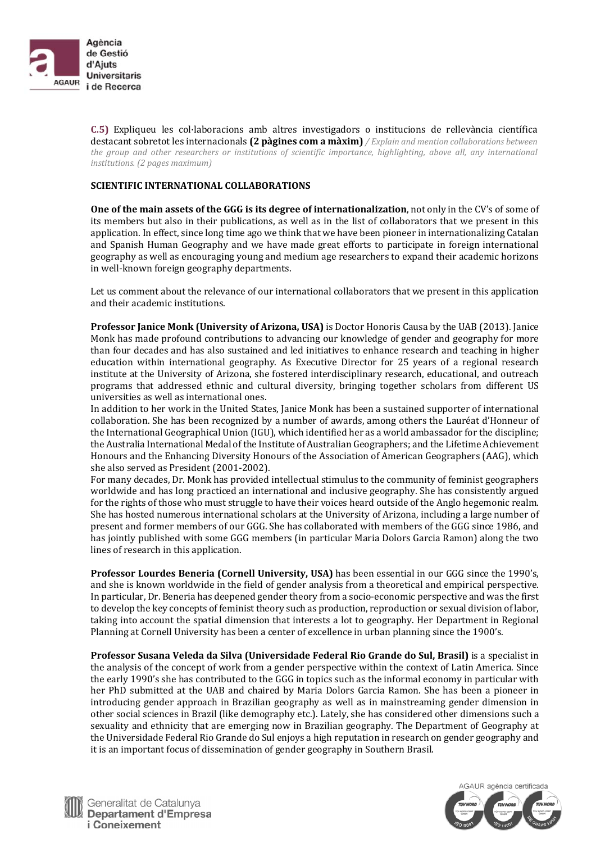

**C.5)** Expliqueu les col·laboracions amb altres investigadors o institucions de rellevància científica destacant sobretot les internacionals **(2 pàgines com a màxim)** */ Explain and mention collaborations between the group and other researchers or institutions of scientific importance, highlighting, above all, any international institutions. (2 pages maximum)*

## **SCIENTIFIC INTERNATIONAL COLLABORATIONS**

**One of the main assets of the GGG is its degree of internationalization**, not only in the CV's of some of its members but also in their publications, as well as in the list of collaborators that we present in this application. In effect, since long time ago we think that we have been pioneer in internationalizing Catalan and Spanish Human Geography and we have made great efforts to participate in foreign international geography as well as encouraging young and medium age researchers to expand their academic horizons in well-known foreign geography departments.

Let us comment about the relevance of our international collaborators that we present in this application and their academic institutions.

**Professor Janice Monk (University of Arizona, USA)** is Doctor Honoris Causa by the UAB (2013). Janice Monk has made profound contributions to advancing our knowledge of gender and geography for more than four decades and has also sustained and led initiatives to enhance research and teaching in higher education within international geography. As Executive Director for 25 years of a regional research institute at the University of Arizona, she fostered interdisciplinary research, educational, and outreach programs that addressed ethnic and cultural diversity, bringing together scholars from different US universities as well as international ones.

In addition to her work in the United States, Janice Monk has been a sustained supporter of international collaboration. She has been recognized by a number of awards, among others the Lauréat d'Honneur of the International Geographical Union (IGU), which identified her as a world ambassador for the discipline; the Australia International Medal of the Institute of Australian Geographers; and the Lifetime Achievement Honours and the Enhancing Diversity Honours of the Association of American Geographers (AAG), which she also served as President (2001-2002).

For many decades, Dr. Monk has provided intellectual stimulus to the community of feminist geographers worldwide and has long practiced an international and inclusive geography. She has consistently argued for the rights of those who must struggle to have their voices heard outside of the Anglo hegemonic realm. She has hosted numerous international scholars at the University of Arizona, including a large number of present and former members of our GGG. She has collaborated with members of the GGG since 1986, and has jointly published with some GGG members (in particular Maria Dolors Garcia Ramon) along the two lines of research in this application.

**Professor Lourdes Beneria (Cornell University, USA)** has been essential in our GGG since the 1990's, and she is known worldwide in the field of gender analysis from a theoretical and empirical perspective. In particular, Dr. Beneria has deepened gender theory from a socio-economic perspective and was the first to develop the key concepts of feminist theory such as production, reproduction or sexual division of labor, taking into account the spatial dimension that interests a lot to geography. Her Department in Regional Planning at Cornell University has been a center of excellence in urban planning since the 1900's.

**Professor Susana Veleda da Silva (Universidade Federal Rio Grande do Sul, Brasil)** is a specialist in the analysis of the concept of work from a gender perspective within the context of Latin America. Since the early 1990's she has contributed to the GGG in topics such as the informal economy in particular with her PhD submitted at the UAB and chaired by Maria Dolors Garcia Ramon. She has been a pioneer in introducing gender approach in Brazilian geography as well as in mainstreaming gender dimension in other social sciences in Brazil (like demography etc.). Lately, she has considered other dimensions such a sexuality and ethnicity that are emerging now in Brazilian geography. The Department of Geography at the Universidade Federal Rio Grande do Sul enjoys a high reputation in research on gender geography and it is an important focus of dissemination of gender geography in Southern Brasil.



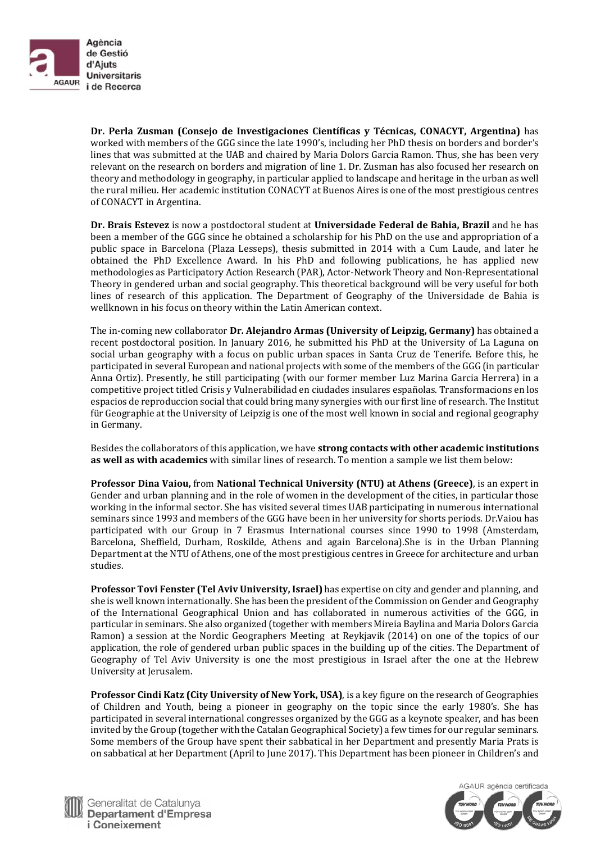

**Dr. Perla Zusman (Consejo de Investigaciones Científicas y Técnicas, CONACYT, Argentina)** has worked with members of the GGG since the late 1990's, including her PhD thesis on borders and border's lines that was submitted at the UAB and chaired by Maria Dolors Garcia Ramon. Thus, she has been very relevant on the research on borders and migration of line 1. Dr. Zusman has also focused her research on theory and methodology in geography, in particular applied to landscape and heritage in the urban as well the rural milieu. Her academic institution CONACYT at Buenos Aires is one of the most prestigious centres of CONACYT in Argentina.

**Dr. Brais Estevez** is now a postdoctoral student at **Universidade Federal de Bahia, Brazil** and he has been a member of the GGG since he obtained a scholarship for his PhD on the use and appropriation of a public space in Barcelona (Plaza Lesseps), thesis submitted in 2014 with a Cum Laude, and later he obtained the PhD Excellence Award. In his PhD and following publications, he has applied new methodologies as Participatory Action Research (PAR), Actor-Network Theory and Non-Representational Theory in gendered urban and social geography. This theoretical background will be very useful for both lines of research of this application. The Department of Geography of the Universidade de Bahia is wellknown in his focus on theory within the Latin American context.

**The in-coming new collaborator Dr. Alejandro Armas (University of Leipzig, Germany) has obtained a** recent postdoctoral position. In January 2016, he submitted his PhD at the University of La Laguna on social urban geography with a focus on public urban spaces in Santa Cruz de Tenerife. Before this, he participated in several European and national projects with some of the members of the GGG (in particular Anna Ortiz). Presently, he still participating (with our former member Luz Marina Garcia Herrera) in a competitive project titled Crisis y Vulnerabilidad en ciudades insulares españolas. Transformacions en los espacios de reproduccion social that could bring many synergies with our first line of research. The Institut für Geographie at the University of Leipzig is one of the most well known in social and regional geography in Germany. 

Besides the collaborators of this application, we have **strong contacts with other academic institutions as well as with academics** with similar lines of research. To mention a sample we list them below:

**Professor Dina Vaiou,** from **National Technical University (NTU) at Athens (Greece)**, is an expert in Gender and urban planning and in the role of women in the development of the cities, in particular those working in the informal sector. She has visited several times UAB participating in numerous international seminars since 1993 and members of the GGG have been in her university for shorts periods. Dr.Vaiou has participated with our Group in 7 Erasmus International courses since 1990 to 1998 (Amsterdam, Barcelona, Sheffield, Durham, Roskilde, Athens and again Barcelona).She is in the Urban Planning Department at the NTU of Athens, one of the most prestigious centres in Greece for architecture and urban studies. 

**Professor Tovi Fenster (Tel Aviv University, Israel)** has expertise on city and gender and planning, and she is well known internationally. She has been the president of the Commission on Gender and Geography of the International Geographical Union and has collaborated in numerous activities of the GGG, in particular in seminars. She also organized (together with members Mireia Baylina and Maria Dolors Garcia Ramon) a session at the Nordic Geographers Meeting at Reykjavik (2014) on one of the topics of our application, the role of gendered urban public spaces in the building up of the cities. The Department of Geography of Tel Aviv University is one the most prestigious in Israel after the one at the Hebrew University at Jerusalem.

**Professor Cindi Katz (City University of New York, USA)**, is a key figure on the research of Geographies of Children and Youth, being a pioneer in geography on the topic since the early 1980's. She has participated in several international congresses organized by the GGG as a keynote speaker, and has been invited by the Group (together with the Catalan Geographical Society) a few times for our regular seminars. Some members of the Group have spent their sabbatical in her Department and presently Maria Prats is on sabbatical at her Department (April to June 2017). This Department has been pioneer in Children's and



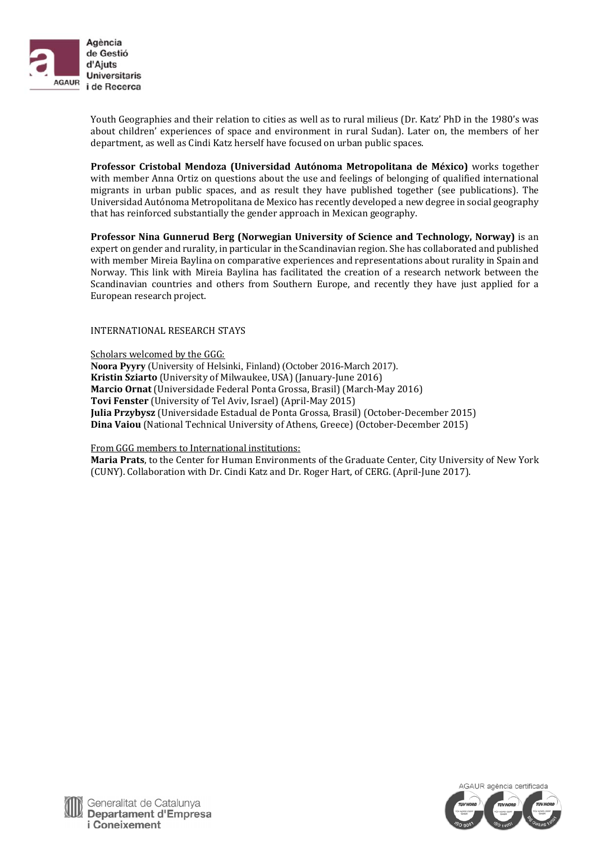

Youth Geographies and their relation to cities as well as to rural milieus (Dr. Katz' PhD in the 1980's was about children' experiences of space and environment in rural Sudan). Later on, the members of her department, as well as Cindi Katz herself have focused on urban public spaces.

**Professor Cristobal Mendoza (Universidad Autónoma Metropolitana de México)** works together with member Anna Ortiz on questions about the use and feelings of belonging of qualified international migrants in urban public spaces, and as result they have published together (see publications). The Universidad Autónoma Metropolitana de Mexico has recently developed a new degree in social geography that has reinforced substantially the gender approach in Mexican geography.

**Professor Nina Gunnerud Berg (Norwegian University of Science and Technology, Norway)** is an expert on gender and rurality, in particular in the Scandinavian region. She has collaborated and published with member Mireia Baylina on comparative experiences and representations about rurality in Spain and Norway. This link with Mireia Baylina has facilitated the creation of a research network between the Scandinavian countries and others from Southern Europe, and recently they have just applied for a European research project.

## INTERNATIONAL RESEARCH STAYS

Scholars welcomed by the GGG: **Noora Pyyry** (University of Helsinki, Finland) (October 2016-March 2017). **Kristin Sziarto** (University of Milwaukee, USA) (January-June 2016) **Marcio Ornat** (Universidade Federal Ponta Grossa, Brasil) (March-May 2016) **Tovi Fenster** (University of Tel Aviv, Israel) (April-May 2015) **Julia Przybysz** (Universidade Estadual de Ponta Grossa, Brasil) (October-December 2015) **Dina Vaiou** (National Technical University of Athens, Greece) (October-December 2015)

From GGG members to International institutions:

Maria Prats, to the Center for Human Environments of the Graduate Center, City University of New York (CUNY). Collaboration with Dr. Cindi Katz and Dr. Roger Hart, of CERG. (April-June 2017).

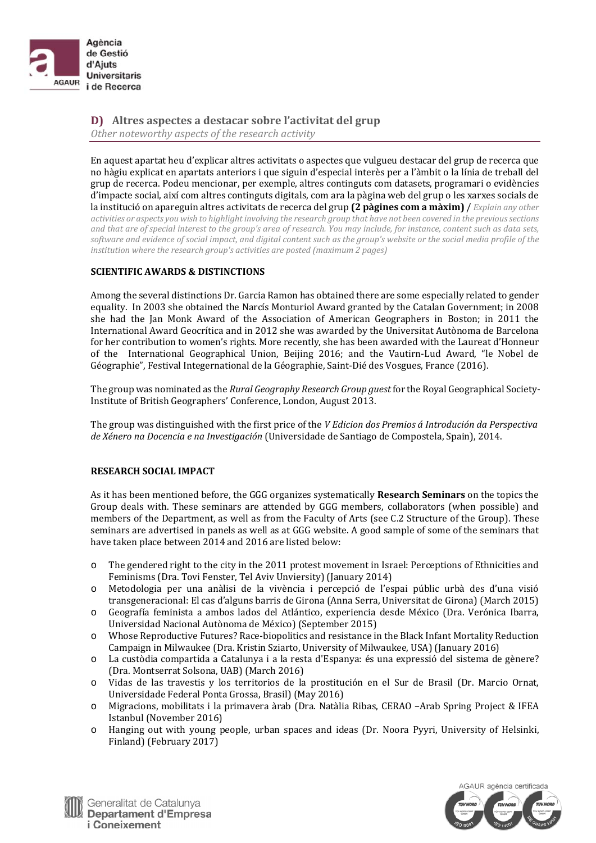

**D) Altres aspectes a destacar sobre l'activitat del grup** *Other noteworthy aspects of the research activity*

En aquest apartat heu d'explicar altres activitats o aspectes que vulgueu destacar del grup de recerca que no hàgiu explicat en apartats anteriors i que siguin d'especial interès per a l'àmbit o la línia de treball del grup de recerca. Podeu mencionar, per exemple, altres continguts com datasets, programari o evidències d'impacte social, així com altres continguts digitals, com ara la pàgina web del grup o les xarxes socials de la institució on apareguin altres activitats de recerca del grup (2 pàgines com a màxim) / Explain any other activities or aspects you wish to highlight involving the research group that have not been covered in the previous sections and that are of special interest to the group's area of research. You may include, for instance, content such as data sets, software and evidence of social impact, and digital content such as the group's website or the social media profile of the *institution where the research group's activities are posted (maximum 2 pages)*

## **SCIENTIFIC AWARDS & DISTINCTIONS**

Among the several distinctions Dr. Garcia Ramon has obtained there are some especially related to gender equality. In 2003 she obtained the Narcís Monturiol Award granted by the Catalan Government; in 2008 she had the Jan Monk Award of the Association of American Geographers in Boston; in 2011 the International Award Geocrítica and in 2012 she was awarded by the Universitat Autònoma de Barcelona for her contribution to women's rights. More recently, she has been awarded with the Laureat d'Honneur of the International Geographical Union, Beijing 2016; and the Vautirn-Lud Award, "le Nobel de Géographie", Festival Integernational de la Géographie, Saint-Dié des Vosgues, France (2016).

The group was nominated as the *Rural Geography Research Group guest* for the Royal Geographical Society-Institute of British Geographers' Conference, London, August 2013.

The group was distinguished with the first price of the *V Edicion dos Premios á Introdución da Perspectiva de Xénero na Docencia e na Investigación* (Universidade de Santiago de Compostela, Spain), 2014. 

#### **RESEARCH SOCIAL IMPACT**

As it has been mentioned before, the GGG organizes systematically **Research Seminars** on the topics the Group deals with. These seminars are attended by GGG members, collaborators (when possible) and members of the Department, as well as from the Faculty of Arts (see C.2 Structure of the Group). These seminars are advertised in panels as well as at GGG website. A good sample of some of the seminars that have taken place between 2014 and 2016 are listed below:

- $\circ$  The gendered right to the city in the 2011 protest movement in Israel: Perceptions of Ethnicities and Feminisms (Dra. Tovi Fenster, Tel Aviv Unviersity) (January 2014)
- o Metodologia per una anàlisi de la vivència i percepció de l'espai públic urbà des d'una visió transgeneracional: El cas d'alguns barris de Girona (Anna Serra, Universitat de Girona) (March 2015)
- o Geografía feminista a ambos lados del Atlántico, experiencia desde México (Dra. Verónica Ibarra, Universidad Nacional Autònoma de México) (September 2015)
- Whose Reproductive Futures? Race-biopolitics and resistance in the Black Infant Mortality Reduction Campaign in Milwaukee (Dra. Kristin Sziarto, University of Milwaukee, USA) (January 2016)
- o La custòdia compartida a Catalunya i a la resta d'Espanya: és una expressió del sistema de gènere? (Dra. Montserrat Solsona, UAB) (March 2016)
- o Vidas de las travestis y los territorios de la prostitución en el Sur de Brasil (Dr. Marcio Ornat, Universidade Federal Ponta Grossa, Brasil) (May 2016)
- o Migracions, mobilitats i la primavera àrab (Dra. Natàlia Ribas, CERAO –Arab Spring Project & IFEA Istanbul (November 2016)
- $\circ$  Hanging out with young people, urban spaces and ideas (Dr. Noora Pyyri, University of Helsinki, Finland) (February 2017)



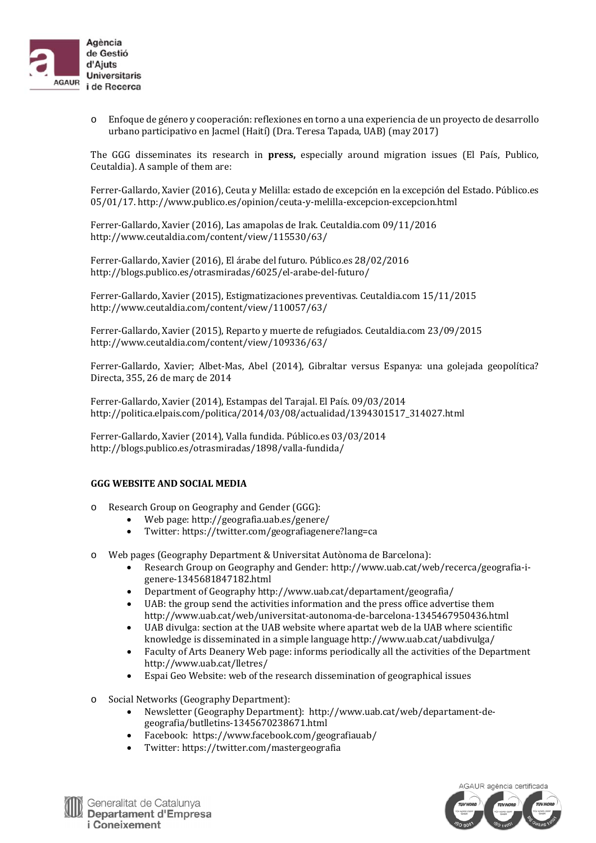

o Enfoque de género y cooperación: reflexiones en torno a una experiencia de un proyecto de desarrollo urbano participativo en Jacmel (Haití) (Dra. Teresa Tapada, UAB) (may 2017)

The GGG disseminates its research in **press**, especially around migration issues (El País, Publico, Ceutaldia). A sample of them are:

Ferrer-Gallardo, Xavier (2016), Ceuta y Melilla: estado de excepción en la excepción del Estado. Público.es 05/01/17. http://www.publico.es/opinion/ceuta‐y‐melilla‐excepcion‐excepcion.html 

Ferrer-Gallardo, Xavier (2016), Las amapolas de Irak. Ceutaldia.com 09/11/2016 http://www.ceutaldia.com/content/view/115530/63/ 

Ferrer-Gallardo, Xavier (2016), El árabe del futuro. Público.es 28/02/2016 http://blogs.publico.es/otrasmiradas/6025/el-arabe-del-futuro/

Ferrer-Gallardo, Xavier (2015), Estigmatizaciones preventivas. Ceutaldia.com 15/11/2015 http://www.ceutaldia.com/content/view/110057/63/ 

Ferrer-Gallardo, Xavier (2015), Reparto y muerte de refugiados. Ceutaldia.com 23/09/2015 http://www.ceutaldia.com/content/view/109336/63/ 

Ferrer-Gallardo, Xavier; Albet-Mas, Abel (2014), Gibraltar versus Espanya: una golejada geopolítica? Directa, 355, 26 de març de 2014

Ferrer-Gallardo, Xavier (2014), Estampas del Tarajal. El País. 09/03/2014 http://politica.elpais.com/politica/2014/03/08/actualidad/1394301517\_314027.html 

Ferrer-Gallardo, Xavier (2014), Valla fundida. Público.es 03/03/2014 http://blogs.publico.es/otrasmiradas/1898/valla‐fundida/ 

#### **GGG WEBSITE AND SOCIAL MEDIA**

- o Research Group on Geography and Gender (GGG):
	- $\bullet$  Web page: http://geografia.uab.es/genere/
		- Twitter: https://twitter.com/geografiagenere?lang=ca
- o Web pages (Geography Department & Universitat Autònoma de Barcelona):
	- Research Group on Geography and Gender: http://www.uab.cat/web/recerca/geografia-igenere‐1345681847182.html
	- Department of Geography http://www.uab.cat/departament/geografia/
	- UAB: the group send the activities information and the press office advertise them http://www.uab.cat/web/universitat‐autonoma‐de‐barcelona‐1345467950436.html
	- UAB divulga: section at the UAB website where apartat web de la UAB where scientific knowledge is disseminated in a simple language http://www.uab.cat/uabdivulga/
	- Faculty of Arts Deanery Web page: informs periodically all the activities of the Department http://www.uab.cat/lletres/
	- Espai Geo Website: web of the research dissemination of geographical issues
- o Social Networks (Geography Department):
	- Newsletter (Geography Department): http://www.uab.cat/web/departament-degeografia/butlletins‐1345670238671.html
	- Facebook: https://www.facebook.com/geografiauab/
	- Twitter: https://twitter.com/mastergeografia